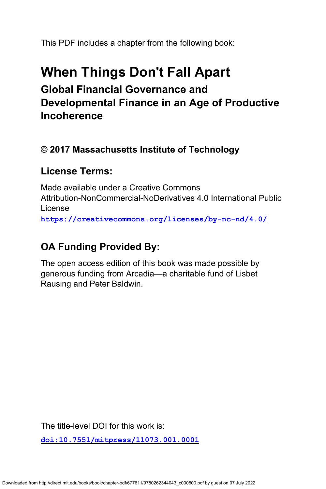This PDF includes a chapter from the following book:

# **When Things Don't Fall Apart Global Financial Governance and Developmental Finance in an Age of Productive Incoherence**

## **© 2017 Massachusetts Institute of Technology**

# **License Terms:**

Made available under a Creative Commons Attribution-NonCommercial-NoDerivatives 4.0 International Public License **<https://creativecommons.org/licenses/by-nc-nd/4.0/>**

# **OA Funding Provided By:**

The open access edition of this book was made possible by generous funding from Arcadia—a charitable fund of Lisbet Rausing and Peter Baldwin.

The title-level DOI for this work is:

**[doi:10.7551/mitpress/11073.001.0001](https://doi.org/10.7551/mitpress/11073.001.0001)**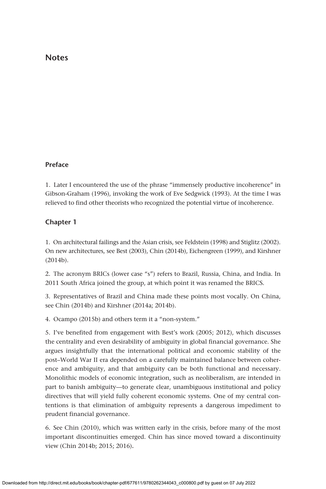### **Notes**

#### **Preface**

1. Later I encountered the use of the phrase "immensely productive incoherence" in Gibson-Graham (1996), invoking the work of Eve Sedgwick (1993). At the time I was relieved to find other theorists who recognized the potential virtue of incoherence.

#### **Chapter 1**

1. On architectural failings and the Asian crisis, see Feldstein (1998) and Stiglitz (2002). On new architectures, see Best (2003), Chin (2014b), Eichengreen (1999), and Kirshner (2014b).

2. The acronym BRICs (lower case "s") refers to Brazil, Russia, China, and India. In 2011 South Africa joined the group, at which point it was renamed the BRICS.

3. Representatives of Brazil and China made these points most vocally. On China, see Chin (2014b) and Kirshner (2014a; 2014b).

4. Ocampo (2015b) and others term it a "non-system."

5. I've benefited from engagement with Best's work (2005; 2012), which discusses the centrality and even desirability of ambiguity in global financial governance. She argues insightfully that the international political and economic stability of the post–World War II era depended on a carefully maintained balance between coherence and ambiguity, and that ambiguity can be both functional and necessary. Monolithic models of economic integration, such as neoliberalism, are intended in part to banish ambiguity—to generate clear, unambiguous institutional and policy directives that will yield fully coherent economic systems. One of my central contentions is that elimination of ambiguity represents a dangerous impediment to prudent financial governance.

6. See Chin (2010), which was written early in the crisis, before many of the most important discontinuities emerged. Chin has since moved toward a discontinuity view (Chin 2014b; 2015; 2016)**.**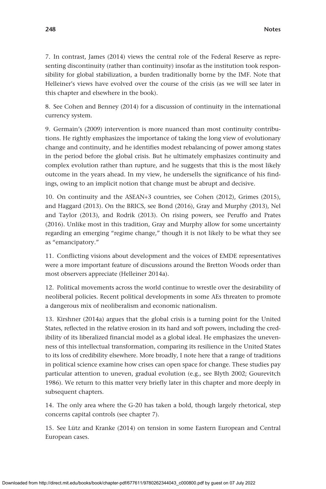7. In contrast, James (2014) views the central role of the Federal Reserve as representing discontinuity (rather than continuity) insofar as the institution took responsibility for global stabilization, a burden traditionally borne by the IMF. Note that Helleiner's views have evolved over the course of the crisis (as we will see later in this chapter and elsewhere in the book).

8. See Cohen and Benney (2014) for a discussion of continuity in the international currency system.

9. Germain's (2009) intervention is more nuanced than most continuity contributions. He rightly emphasizes the importance of taking the long view of evolutionary change and continuity, and he identifies modest rebalancing of power among states in the period before the global crisis. But he ultimately emphasizes continuity and complex evolution rather than rupture, and he suggests that this is the most likely outcome in the years ahead. In my view, he undersells the significance of his findings, owing to an implicit notion that change must be abrupt and decisive.

10. On continuity and the ASEAN+3 countries, see Cohen (2012), Grimes (2015), and Haggard (2013). On the BRICS, see Bond (2016), Gray and Murphy (2013), Nel and Taylor (2013), and Rodrik (2013). On rising powers, see Peruffo and Prates (2016). Unlike most in this tradition, Gray and Murphy allow for some uncertainty regarding an emerging "regime change," though it is not likely to be what they see as "emancipatory."

11. Conflicting visions about development and the voices of EMDE representatives were a more important feature of discussions around the Bretton Woods order than most observers appreciate (Helleiner 2014a).

12. Political movements across the world continue to wrestle over the desirability of neoliberal policies. Recent political developments in some AEs threaten to promote a dangerous mix of neoliberalism and economic nationalism.

13. Kirshner (2014a) argues that the global crisis is a turning point for the United States, reflected in the relative erosion in its hard and soft powers, including the credibility of its liberalized financial model as a global ideal. He emphasizes the unevenness of this intellectual transformation, comparing its resilience in the United States to its loss of credibility elsewhere. More broadly, I note here that a range of traditions in political science examine how crises can open space for change. These studies pay particular attention to uneven, gradual evolution (e.g., see Blyth 2002; Gourevitch 1986). We return to this matter very briefly later in this chapter and more deeply in subsequent chapters.

14. The only area where the G-20 has taken a bold, though largely rhetorical, step concerns capital controls (see chapter 7).

15. See Lütz and Kranke (2014) on tension in some Eastern European and Central European cases.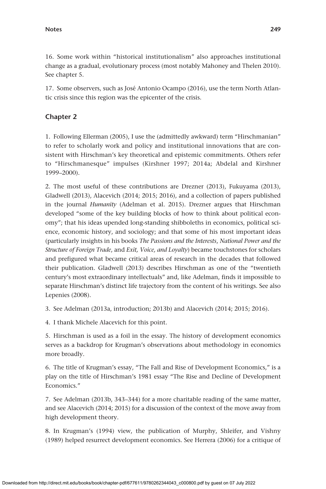16. Some work within "historical institutionalism" also approaches institutional change as a gradual, evolutionary process (most notably Mahoney and Thelen 2010). See chapter 5.

17. Some observers, such as José Antonio Ocampo (2016), use the term North Atlantic crisis since this region was the epicenter of the crisis.

### **Chapter 2**

1. Following Ellerman (2005), I use the (admittedly awkward) term "Hirschmanian" to refer to scholarly work and policy and institutional innovations that are consistent with Hirschman's key theoretical and epistemic commitments. Others refer to "Hirschmanesque" impulses (Kirshner 1997; 2014a; Abdelal and Kirshner 1999–2000).

2. The most useful of these contributions are Drezner (2013), Fukuyama (2013), Gladwell (2013), Alacevich (2014; 2015; 2016), and a collection of papers published in the journal *Humanity* (Adelman et al. 2015). Drezner argues that Hirschman developed "some of the key building blocks of how to think about political economy"; that his ideas upended long-standing shibboleths in economics, political science, economic history, and sociology; and that some of his most important ideas (particularly insights in his books *The Passions and the Interests*, *National Power and the Structure of Foreign Trade*, and *Exit, Voice, and Loyalty*) became touchstones for scholars and prefigured what became critical areas of research in the decades that followed their publication. Gladwell (2013) describes Hirschman as one of the "twentieth century's most extraordinary intellectuals" and, like Adelman, finds it impossible to separate Hirschman's distinct life trajectory from the content of his writings. See also Lepenies (2008).

3. See Adelman (2013a, introduction; 2013b) and Alacevich (2014; 2015; 2016).

4. I thank Michele Alacevich for this point.

5. Hirschman is used as a foil in the essay. The history of development economics serves as a backdrop for Krugman's observations about methodology in economics more broadly.

6. The title of Krugman's essay, "The Fall and Rise of Development Economics," is a play on the title of Hirschman's 1981 essay "The Rise and Decline of Development Economics."

7. See Adelman (2013b, 343–344) for a more charitable reading of the same matter, and see Alacevich (2014; 2015) for a discussion of the context of the move away from high development theory.

8. In Krugman's (1994) view, the publication of Murphy, Shleifer, and Vishny (1989) helped resurrect development economics. See Herrera (2006) for a critique of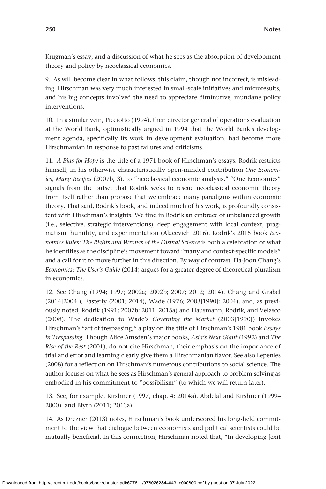Krugman's essay, and a discussion of what he sees as the absorption of development theory and policy by neoclassical economics.

9. As will become clear in what follows, this claim, though not incorrect, is misleading. Hirschman was very much interested in small-scale initiatives and microresults, and his big concepts involved the need to appreciate diminutive, mundane policy interventions.

10. In a similar vein, Picciotto (1994), then director general of operations evaluation at the World Bank, optimistically argued in 1994 that the World Bank's development agenda, specifically its work in development evaluation, had become more Hirschmanian in response to past failures and criticisms.

11. *A Bias for Hope* is the title of a 1971 book of Hirschman's essays. Rodrik restricts himself, in his otherwise characteristically open-minded contribution *One Economics, Many Recipes* (2007b, 3), to "neoclassical economic analysis." "One Economics" signals from the outset that Rodrik seeks to rescue neoclassical economic theory from itself rather than propose that we embrace many paradigms within economic theory. That said, Rodrik's book, and indeed much of his work, is profoundly consistent with Hirschman's insights. We find in Rodrik an embrace of unbalanced growth (i.e., selective, strategic interventions), deep engagement with local context, pragmatism, humility, and experimentation (Alacevich 2016). Rodrik's 2015 book *Economics Rules: The Rights and Wrongs of the Dismal Science* is both a celebration of what he identifies as the discipline's movement toward "many and context-specific models" and a call for it to move further in this direction. By way of contrast, Ha-Joon Chang's *Economics: The User's Guide* (2014) argues for a greater degree of theoretical pluralism in economics.

12. See Chang (1994; 1997; 2002a; 2002b; 2007; 2012; 2014), Chang and Grabel (2014[2004]), Easterly (2001; 2014), Wade (1976; 2003[1990]; 2004), and, as previously noted, Rodrik (1991; 2007b; 2011; 2015a) and Hausmann, Rodrik, and Velasco (2008). The dedication to Wade's *Governing the Market* (2003[1990]) invokes Hirschman's "art of trespassing," a play on the title of Hirschman's 1981 book *Essays in Trespassing*. Though Alice Amsden's major books, *Asia's Next Giant* (1992) and *The Rise of the Rest* (2001), do not cite Hirschman, their emphasis on the importance of trial and error and learning clearly give them a Hirschmanian flavor. See also Lepenies (2008) for a reflection on Hirschman's numerous contributions to social science. The author focuses on what he sees as Hirschman's general approach to problem solving as embodied in his commitment to "possibilism" (to which we will return later).

13. See, for example, Kirshner (1997, chap. 4; 2014a), Abdelal and Kirshner (1999– 2000), and Blyth (2011; 2013a).

14. As Drezner (2013) notes, Hirschman's book underscored his long-held commitment to the view that dialogue between economists and political scientists could be mutually beneficial. In this connection, Hirschman noted that, "In developing [exit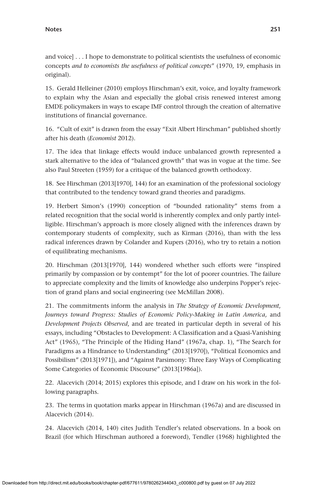and voice] . . . I hope to demonstrate to political scientists the usefulness of economic concepts *and to economists the usefulness of political concepts*" (1970, 19, emphasis in original).

15. Gerald Helleiner (2010) employs Hirschman's exit, voice, and loyalty framework to explain why the Asian and especially the global crisis renewed interest among EMDE policymakers in ways to escape IMF control through the creation of alternative institutions of financial governance.

16. "Cult of exit" is drawn from the essay "Exit Albert Hirschman" published shortly after his death (*Economist* 2012).

17. The idea that linkage effects would induce unbalanced growth represented a stark alternative to the idea of "balanced growth" that was in vogue at the time. See also Paul Streeten (1959) for a critique of the balanced growth orthodoxy.

18. See Hirschman (2013[1970], 144) for an examination of the professional sociology that contributed to the tendency toward grand theories and paradigms.

19. Herbert Simon's (1990) conception of "bounded rationality" stems from a related recognition that the social world is inherently complex and only partly intelligible. Hirschman's approach is more closely aligned with the inferences drawn by contemporary students of complexity, such as Kirman (2016), than with the less radical inferences drawn by Colander and Kupers (2016), who try to retain a notion of equilibrating mechanisms.

20. Hirschman (2013[1970], 144) wondered whether such efforts were "inspired primarily by compassion or by contempt" for the lot of poorer countries. The failure to appreciate complexity and the limits of knowledge also underpins Popper's rejection of grand plans and social engineering (see McMillan 2008).

21. The commitments inform the analysis in *The Strategy of Economic Development*, *Journeys toward Progress: Studies of Economic Policy-Making in Latin America*, and *Development Projects Observed*, and are treated in particular depth in several of his essays, including "Obstacles to Development: A Classification and a Quasi-Vanishing Act" (1965), "The Principle of the Hiding Hand" (1967a, chap. 1), "The Search for Paradigms as a Hindrance to Understanding" (2013[1970]), "Political Economics and Possibilism" (2013[1971]), and "Against Parsimony: Three Easy Ways of Complicating Some Categories of Economic Discourse" (2013[1986a]).

22. Alacevich (2014; 2015) explores this episode, and I draw on his work in the following paragraphs.

23. The terms in quotation marks appear in Hirschman (1967a) and are discussed in Alacevich (2014).

24. Alacevich (2014, 140) cites Judith Tendler's related observations. In a book on Brazil (for which Hirschman authored a foreword), Tendler (1968) highlighted the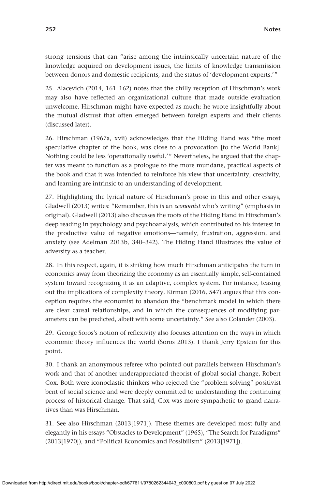strong tensions that can "arise among the intrinsically uncertain nature of the knowledge acquired on development issues, the limits of knowledge transmission between donors and domestic recipients, and the status of 'development experts.'"

25. Alacevich (2014, 161–162) notes that the chilly reception of Hirschman's work may also have reflected an organizational culture that made outside evaluation unwelcome. Hirschman might have expected as much: he wrote insightfully about the mutual distrust that often emerged between foreign experts and their clients (discussed later).

26. Hirschman (1967a, xvii) acknowledges that the Hiding Hand was "the most speculative chapter of the book, was close to a provocation [to the World Bank]. Nothing could be less 'operationally useful.'" Nevertheless, he argued that the chapter was meant to function as a prologue to the more mundane, practical aspects of the book and that it was intended to reinforce his view that uncertainty, creativity, and learning are intrinsic to an understanding of development.

27. Highlighting the lyrical nature of Hirschman's prose in this and other essays, Gladwell (2013) writes: "Remember, this is an *economist* who's writing" (emphasis in original). Gladwell (2013) also discusses the roots of the Hiding Hand in Hirschman's deep reading in psychology and psychoanalysis, which contributed to his interest in the productive value of negative emotions—namely, frustration, aggression, and anxiety (see Adelman 2013b, 340–342). The Hiding Hand illustrates the value of adversity as a teacher.

28. In this respect, again, it is striking how much Hirschman anticipates the turn in economics away from theorizing the economy as an essentially simple, self-contained system toward recognizing it as an adaptive, complex system. For instance, teasing out the implications of complexity theory, Kirman (2016, 547) argues that this conception requires the economist to abandon the "benchmark model in which there are clear causal relationships, and in which the consequences of modifying parameters can be predicted, albeit with some uncertainty." See also Colander (2003).

29. George Soros's notion of reflexivity also focuses attention on the ways in which economic theory influences the world (Soros 2013). I thank Jerry Epstein for this point.

30. I thank an anonymous referee who pointed out parallels between Hirschman's work and that of another underappreciated theorist of global social change, Robert Cox. Both were iconoclastic thinkers who rejected the "problem solving" positivist bent of social science and were deeply committed to understanding the continuing process of historical change. That said, Cox was more sympathetic to grand narratives than was Hirschman.

31. See also Hirschman (2013[1971]). These themes are developed most fully and elegantly in his essays "Obstacles to Development" (1965), "The Search for Paradigms" (2013[1970]), and "Political Economics and Possibilism" (2013[1971]).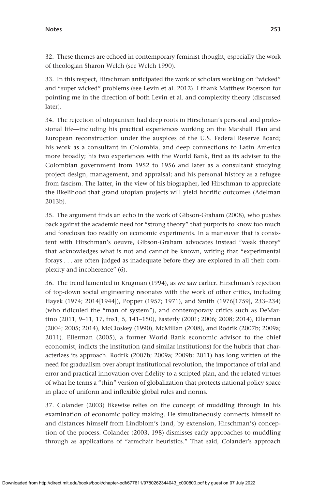32. These themes are echoed in contemporary feminist thought, especially the work of theologian Sharon Welch (see Welch 1990).

33. In this respect, Hirschman anticipated the work of scholars working on "wicked" and "super wicked" problems (see Levin et al. 2012). I thank Matthew Paterson for pointing me in the direction of both Levin et al. and complexity theory (discussed later).

34. The rejection of utopianism had deep roots in Hirschman's personal and professional life—including his practical experiences working on the Marshall Plan and European reconstruction under the auspices of the U.S. Federal Reserve Board; his work as a consultant in Colombia, and deep connections to Latin America more broadly; his two experiences with the World Bank, first as its adviser to the Colombian government from 1952 to 1956 and later as a consultant studying project design, management, and appraisal; and his personal history as a refugee from fascism. The latter, in the view of his biographer, led Hirschman to appreciate the likelihood that grand utopian projects will yield horrific outcomes (Adelman 2013b).

35. The argument finds an echo in the work of Gibson-Graham (2008), who pushes back against the academic need for "strong theory" that purports to know too much and forecloses too readily on economic experiments. In a maneuver that is consistent with Hirschman's oeuvre, Gibson-Graham advocates instead "weak theory" that acknowledges what is not and cannot be known, writing that "experimental forays . . . are often judged as inadequate before they are explored in all their complexity and incoherence" (6).

36. The trend lamented in Krugman (1994), as we saw earlier. Hirschman's rejection of top-down social engineering resonates with the work of other critics, including Hayek (1974; 2014[1944]), Popper (1957; 1971), and Smith (1976[1759], 233–234) (who ridiculed the "man of system"), and contemporary critics such as DeMartino (2011, 9–11, 17, fns1, 5, 141–150), Easterly (2001; 2006; 2008; 2014), Ellerman (2004; 2005; 2014), McCloskey (1990), McMillan (2008), and Rodrik (2007b; 2009a; 2011). Ellerman (2005), a former World Bank economic advisor to the chief economist, indicts the institution (and similar institutions) for the hubris that characterizes its approach. Rodrik (2007b; 2009a; 2009b; 2011) has long written of the need for gradualism over abrupt institutional revolution, the importance of trial and error and practical innovation over fidelity to a scripted plan, and the related virtues of what he terms a "thin" version of globalization that protects national policy space in place of uniform and inflexible global rules and norms.

37. Colander (2003) likewise relies on the concept of muddling through in his examination of economic policy making. He simultaneously connects himself to and distances himself from Lindblom's (and, by extension, Hirschman's) conception of the process. Colander (2003, 198) dismisses early approaches to muddling through as applications of "armchair heuristics." That said, Colander's approach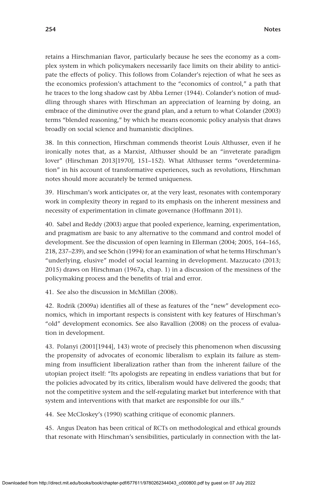retains a Hirschmanian flavor, particularly because he sees the economy as a complex system in which policymakers necessarily face limits on their ability to anticipate the effects of policy. This follows from Colander's rejection of what he sees as the economics profession's attachment to the "economics of control," a path that he traces to the long shadow cast by Abba Lerner (1944). Colander's notion of muddling through shares with Hirschman an appreciation of learning by doing, an embrace of the diminutive over the grand plan, and a return to what Colander (2003) terms "blended reasoning," by which he means economic policy analysis that draws broadly on social science and humanistic disciplines.

38. In this connection, Hirschman commends theorist Louis Althusser, even if he ironically notes that, as a Marxist, Althusser should be an "inveterate paradigm lover" (Hirschman 2013[1970], 151–152). What Althusser terms "overdetermination" in his account of transformative experiences, such as revolutions, Hirschman notes should more accurately be termed uniqueness.

39. Hirschman's work anticipates or, at the very least, resonates with contemporary work in complexity theory in regard to its emphasis on the inherent messiness and necessity of experimentation in climate governance (Hoffmann 2011).

40. Sabel and Reddy (2003) argue that pooled experience, learning, experimentation, and pragmatism are basic to any alternative to the command and control model of development. See the discussion of open learning in Ellerman (2004; 2005, 164–165, 218, 237–239), and see Schön (1994) for an examination of what he terms Hirschman's "underlying, elusive" model of social learning in development. Mazzucato (2013; 2015) draws on Hirschman (1967a, chap. 1) in a discussion of the messiness of the policymaking process and the benefits of trial and error.

41. See also the discussion in McMillan (2008).

42. Rodrik (2009a) identifies all of these as features of the "new" development economics, which in important respects is consistent with key features of Hirschman's "old" development economics. See also Ravallion (2008) on the process of evaluation in development.

43. Polanyi (2001[1944], 143) wrote of precisely this phenomenon when discussing the propensity of advocates of economic liberalism to explain its failure as stemming from insufficient liberalization rather than from the inherent failure of the utopian project itself: "Its apologists are repeating in endless variations that but for the policies advocated by its critics, liberalism would have delivered the goods; that not the competitive system and the self-regulating market but interference with that system and interventions with that market are responsible for our ills."

44. See McCloskey's (1990) scathing critique of economic planners.

45. Angus Deaton has been critical of RCTs on methodological and ethical grounds that resonate with Hirschman's sensibilities, particularly in connection with the lat-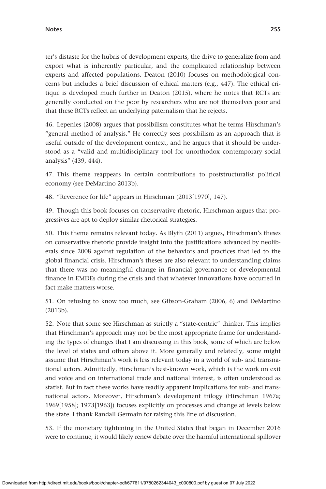ter's distaste for the hubris of development experts, the drive to generalize from and export what is inherently particular, and the complicated relationship between experts and affected populations. Deaton (2010) focuses on methodological concerns but includes a brief discussion of ethical matters (e.g., 447). The ethical critique is developed much further in Deaton (2015), where he notes that RCTs are generally conducted on the poor by researchers who are not themselves poor and that these RCTs reflect an underlying paternalism that he rejects.

46. Lepenies (2008) argues that possibilism constitutes what he terms Hirschman's "general method of analysis." He correctly sees possibilism as an approach that is useful outside of the development context, and he argues that it should be understood as a "valid and multidisciplinary tool for unorthodox contemporary social analysis" (439, 444).

47. This theme reappears in certain contributions to poststructuralist political economy (see DeMartino 2013b).

48. "Reverence for life" appears in Hirschman (2013[1970], 147).

49. Though this book focuses on conservative rhetoric, Hirschman argues that progressives are apt to deploy similar rhetorical strategies.

50. This theme remains relevant today. As Blyth (2011) argues, Hirschman's theses on conservative rhetoric provide insight into the justifications advanced by neoliberals since 2008 against regulation of the behaviors and practices that led to the global financial crisis. Hirschman's theses are also relevant to understanding claims that there was no meaningful change in financial governance or developmental finance in EMDEs during the crisis and that whatever innovations have occurred in fact make matters worse.

51. On refusing to know too much, see Gibson-Graham (2006, 6) and DeMartino (2013b)**.**

52. Note that some see Hirschman as strictly a "state-centric" thinker. This implies that Hirschman's approach may not be the most appropriate frame for understanding the types of changes that I am discussing in this book, some of which are below the level of states and others above it. More generally and relatedly, some might assume that Hirschman's work is less relevant today in a world of sub- and transnational actors. Admittedly, Hirschman's best-known work, which is the work on exit and voice and on international trade and national interest, is often understood as statist. But in fact these works have readily apparent implications for sub- and transnational actors. Moreover, Hirschman's development trilogy (Hirschman 1967a; 1969[1958]; 1973[1963]) focuses explicitly on processes and change at levels below the state. I thank Randall Germain for raising this line of discussion.

53. If the monetary tightening in the United States that began in December 2016 were to continue, it would likely renew debate over the harmful international spillover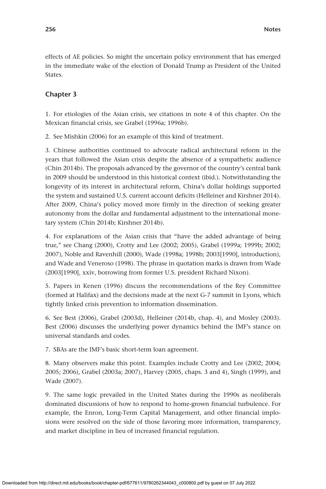effects of AE policies. So might the uncertain policy environment that has emerged in the immediate wake of the election of Donald Trump as President of the United States.

#### **Chapter 3**

1. For etiologies of the Asian crisis, see citations in note 4 of this chapter. On the Mexican financial crisis, see Grabel (1996a; 1996b).

2. See Mishkin (2006) for an example of this kind of treatment.

3. Chinese authorities continued to advocate radical architectural reform in the years that followed the Asian crisis despite the absence of a sympathetic audience (Chin 2014b). The proposals advanced by the governor of the country's central bank in 2009 should be understood in this historical context (ibid.). Notwithstanding the longevity of its interest in architectural reform, China's dollar holdings supported the system and sustained U.S. current account deficits (Helleiner and Kirshner 2014). After 2009, China's policy moved more firmly in the direction of seeking greater autonomy from the dollar and fundamental adjustment to the international monetary system (Chin 2014b; Kirshner 2014b).

4. For explanations of the Asian crisis that "have the added advantage of being true," see Chang (2000), Crotty and Lee (2002; 2005), Grabel (1999a; 1999b; 2002; 2007), Noble and Ravenhill (2000), Wade (1998a; 1998b; 2003[1990], introduction), and Wade and Veneroso (1998). The phrase in quotation marks is drawn from Wade (2003[1990], xxiv, borrowing from former U.S. president Richard Nixon).

5. Papers in Kenen (1996) discuss the recommendations of the Rey Committee (formed at Halifax) and the decisions made at the next G-7 summit in Lyons, which tightly linked crisis prevention to information dissemination.

6. See Best (2006), Grabel (2003d), Helleiner (2014b, chap. 4), and Mosley (2003). Best (2006) discusses the underlying power dynamics behind the IMF's stance on universal standards and codes.

7. SBAs are the IMF's basic short-term loan agreement.

8. Many observers make this point. Examples include Crotty and Lee (2002; 2004; 2005; 2006), Grabel (2003a; 2007), Harvey (2005, chaps. 3 and 4), Singh (1999), and Wade (2007).

9. The same logic prevailed in the United States during the 1990s as neoliberals dominated discussions of how to respond to home-grown financial turbulence. For example, the Enron, Long-Term Capital Management, and other financial implosions were resolved on the side of those favoring more information, transparency, and market discipline in lieu of increased financial regulation.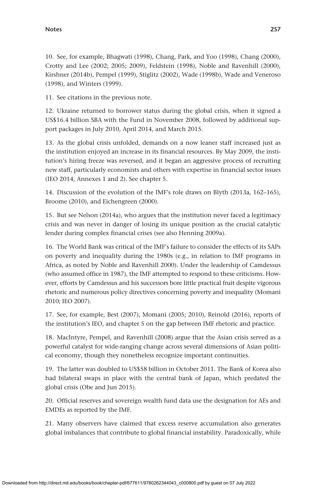10. See, for example, Bhagwati (1998), Chang, Park, and Yoo (1998), Chang (2000), Crotty and Lee (2002; 2005; 2009), Feldstein (1998), Noble and Ravenhill (2000), Kirshner (2014b), Pempel (1999), Stiglitz (2002), Wade (1998b), Wade and Veneroso (1998), and Winters (1999).

11. See citations in the previous note.

12. Ukraine returned to borrower status during the global crisis, when it signed a US\$16.4 billion SBA with the Fund in November 2008, followed by additional support packages in July 2010, April 2014, and March 2015.

13. As the global crisis unfolded, demands on a now leaner staff increased just as the institution enjoyed an increase in its financial resources. By May 2009, the institution's hiring freeze was reversed, and it began an aggressive process of recruiting new staff, particularly economists and others with expertise in financial sector issues (IEO 2014, Annexes 1 and 2). See chapter 5.

14. Discussion of the evolution of the IMF's role draws on Blyth (2013a, 162–165), Broome (2010), and Eichengreen (2000).

15. But see Nelson (2014a), who argues that the institution never faced a legitimacy crisis and was never in danger of losing its unique position as the crucial catalytic lender during complex financial crises (see also Henning 2009a).

16. The World Bank was critical of the IMF's failure to consider the effects of its SAPs on poverty and inequality during the 1980s (e.g., in relation to IMF programs in Africa, as noted by Noble and Ravenhill 2000). Under the leadership of Camdessus (who assumed office in 1987), the IMF attempted to respond to these criticisms. However, efforts by Camdessus and his successors bore little practical fruit despite vigorous rhetoric and numerous policy directives concerning poverty and inequality (Momani 2010; IEO 2007).

17. See, for example, Best (2007), Momani (2005; 2010), Reinold (2016), reports of the institution's IEO, and chapter 5 on the gap between IMF rhetoric and practice.

18. MacIntyre, Pempel, and Ravenhill (2008) argue that the Asian crisis served as a powerful catalyst for wide-ranging change across several dimensions of Asian political economy, though they nonetheless recognize important continuities.

19. The latter was doubled to US\$58 billion in October 2011. The Bank of Korea also had bilateral swaps in place with the central bank of Japan, which predated the global crisis (Obe and Jun 2015).

20. Official reserves and sovereign wealth fund data use the designation for AEs and EMDEs as reported by the IMF.

21. Many observers have claimed that excess reserve accumulation also generates global imbalances that contribute to global financial instability. Paradoxically, while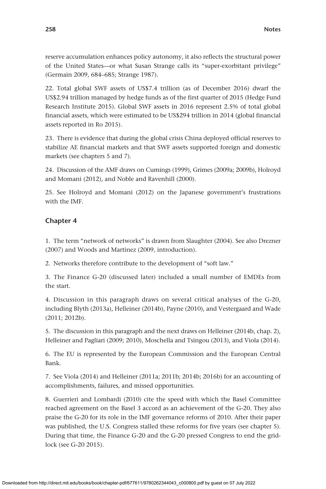reserve accumulation enhances policy autonomy, it also reflects the structural power of the United States—or what Susan Strange calls its "super-exorbitant privilege" (Germain 2009, 684–685; Strange 1987).

22. Total global SWF assets of US\$7.4 trillion (as of December 2016) dwarf the US\$2.94 trillion managed by hedge funds as of the first quarter of 2015 (Hedge Fund Research Institute 2015). Global SWF assets in 2016 represent 2.5% of total global financial assets, which were estimated to be US\$294 trillion in 2014 (global financial assets reported in Ro 2015).

23. There is evidence that during the global crisis China deployed official reserves to stabilize AE financial markets and that SWF assets supported foreign and domestic markets (see chapters 5 and 7).

24. Discussion of the AMF draws on Cumings (1999), Grimes (2009a; 2009b), Holroyd and Momani (2012), and Noble and Ravenhill (2000).

25. See Holroyd and Momani (2012) on the Japanese government's frustrations with the IMF.

#### **Chapter 4**

1. The term "network of networks" is drawn from Slaughter (2004). See also Drezner (2007) and Woods and Martinez (2009, introduction).

2. Networks therefore contribute to the development of "soft law."

3. The Finance G-20 (discussed later) included a small number of EMDEs from the start.

4. Discussion in this paragraph draws on several critical analyses of the G-20, including Blyth (2013a), Helleiner (2014b), Payne (2010), and Vestergaard and Wade (2011; 2012b).

5. The discussion in this paragraph and the next draws on Helleiner (2014b, chap. 2), Helleiner and Pagliari (2009; 2010), Moschella and Tsingou (2013), and Viola (2014).

6. The EU is represented by the European Commission and the European Central Bank.

7. See Viola (2014) and Helleiner (2011a; 2011b; 2014b; 2016b) for an accounting of accomplishments, failures, and missed opportunities.

8. Guerrieri and Lombardi (2010) cite the speed with which the Basel Committee reached agreement on the Basel 3 accord as an achievement of the G-20. They also praise the G-20 for its role in the IMF governance reforms of 2010. After their paper was published, the U.S. Congress stalled these reforms for five years (see chapter 5). During that time, the Finance G-20 and the G-20 pressed Congress to end the gridlock (see G-20 2015).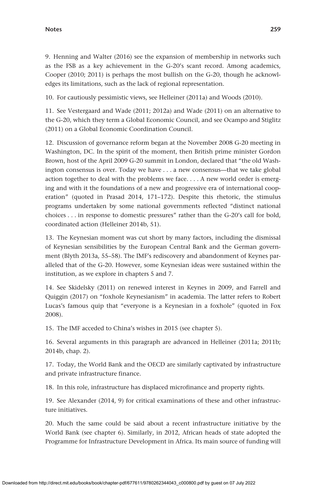9. Henning and Walter (2016) see the expansion of membership in networks such as the FSB as a key achievement in the G-20's scant record. Among academics, Cooper (2010; 2011) is perhaps the most bullish on the G-20, though he acknowledges its limitations, such as the lack of regional representation.

10. For cautiously pessimistic views, see Helleiner (2011a) and Woods (2010).

11. See Vestergaard and Wade (2011; 2012a) and Wade (2011) on an alternative to the G-20, which they term a Global Economic Council, and see Ocampo and Stiglitz (2011) on a Global Economic Coordination Council.

12. Discussion of governance reform began at the November 2008 G-20 meeting in Washington, DC. In the spirit of the moment, then British prime minister Gordon Brown, host of the April 2009 G-20 summit in London, declared that "the old Washington consensus is over. Today we have . . . a new consensus—that we take global action together to deal with the problems we face. . . . A new world order is emerging and with it the foundations of a new and progressive era of international cooperation" (quoted in Prasad 2014, 171–172). Despite this rhetoric, the stimulus programs undertaken by some national governments reflected "distinct national choices . . . in response to domestic pressures" rather than the G-20's call for bold, coordinated action (Helleiner 2014b, 51).

13. The Keynesian moment was cut short by many factors, including the dismissal of Keynesian sensibilities by the European Central Bank and the German government (Blyth 2013a, 55–58). The IMF's rediscovery and abandonment of Keynes paralleled that of the G-20. However, some Keynesian ideas were sustained within the institution, as we explore in chapters 5 and 7.

14. See Skidelsky (2011) on renewed interest in Keynes in 2009, and Farrell and Quiggin (2017) on "foxhole Keynesianism" in academia. The latter refers to Robert Lucas's famous quip that "everyone is a Keynesian in a foxhole" (quoted in Fox 2008).

15. The IMF acceded to China's wishes in 2015 (see chapter 5).

16. Several arguments in this paragraph are advanced in Helleiner (2011a; 2011b; 2014b, chap. 2).

17. Today, the World Bank and the OECD are similarly captivated by infrastructure and private infrastructure finance.

18. In this role, infrastructure has displaced microfinance and property rights.

19. See Alexander (2014, 9) for critical examinations of these and other infrastructure initiatives.

20. Much the same could be said about a recent infrastructure initiative by the World Bank (see chapter 6). Similarly, in 2012, African heads of state adopted the Programme for Infrastructure Development in Africa. Its main source of funding will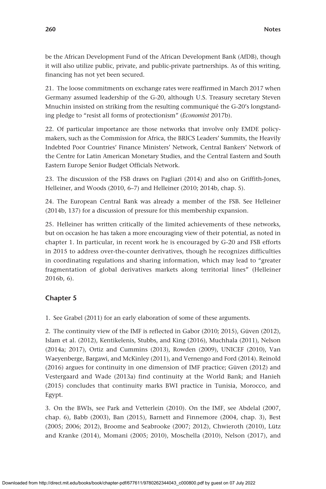be the African Development Fund of the African Development Bank (AfDB), though it will also utilize public, private, and public-private partnerships. As of this writing, financing has not yet been secured.

21. The loose commitments on exchange rates were reaffirmed in March 2017 when Germany assumed leadership of the G-20, although U.S. Treasury secretary Steven Mnuchin insisted on striking from the resulting communiqué the G-20's longstanding pledge to "resist all forms of protectionism" (*Economist* 2017b).

22. Of particular importance are those networks that involve only EMDE policymakers, such as the Commission for Africa, the BRICS Leaders' Summits, the Heavily Indebted Poor Countries' Finance Ministers' Network, Central Bankers' Network of the Centre for Latin American Monetary Studies, and the Central Eastern and South Eastern Europe Senior Budget Officials Network.

23. The discussion of the FSB draws on Pagliari (2014) and also on Griffith-Jones, Helleiner, and Woods (2010, 6–7) and Helleiner (2010; 2014b, chap. 5).

24. The European Central Bank was already a member of the FSB. See Helleiner (2014b, 137) for a discussion of pressure for this membership expansion.

25. Helleiner has written critically of the limited achievements of these networks, but on occasion he has taken a more encouraging view of their potential, as noted in chapter 1. In particular, in recent work he is encouraged by G-20 and FSB efforts in 2015 to address over-the-counter derivatives, though he recognizes difficulties in coordinating regulations and sharing information, which may lead to "greater fragmentation of global derivatives markets along territorial lines" (Helleiner 2016b, 6).

#### **Chapter 5**

1. See Grabel (2011) for an early elaboration of some of these arguments.

2. The continuity view of the IMF is reflected in Gabor (2010; 2015), Güven (2012), Islam et al. (2012), Kentikelenis, Stubbs, and King (2016), Muchhala (2011), Nelson (2014a; 2017), Ortiz and Cummins (2013), Rowden (2009), UNICEF (2010), Van Waeyenberge, Bargawi, and McKinley (2011), and Vernengo and Ford (2014). Reinold (2016) argues for continuity in one dimension of IMF practice; Güven (2012) and Vestergaard and Wade (2013a) find continuity at the World Bank; and Hanieh (2015) concludes that continuity marks BWI practice in Tunisia, Morocco, and Egypt.

3. On the BWIs, see Park and Vetterlein (2010). On the IMF, see Abdelal (2007, chap. 6), Babb (2003), Ban (2015), Barnett and Finnemore (2004, chap. 3), Best (2005; 2006; 2012), Broome and Seabrooke (2007; 2012), Chwieroth (2010), Lütz and Kranke (2014), Momani (2005; 2010), Moschella (2010), Nelson (2017), and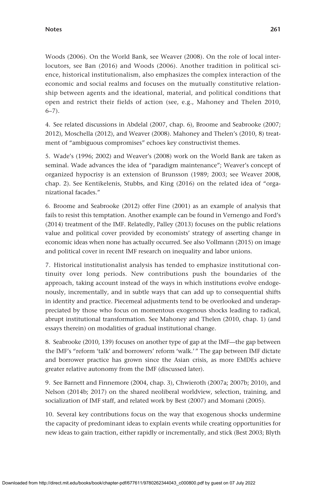#### **Notes 261**

Woods (2006). On the World Bank, see Weaver (2008). On the role of local interlocutors, see Ban (2016) and Woods (2006). Another tradition in political science, historical institutionalism, also emphasizes the complex interaction of the economic and social realms and focuses on the mutually constitutive relationship between agents and the ideational, material, and political conditions that open and restrict their fields of action (see, e.g., Mahoney and Thelen 2010,  $6 - 7$ ).

4. See related discussions in Abdelal (2007, chap. 6), Broome and Seabrooke (2007; 2012), Moschella (2012), and Weaver (2008). Mahoney and Thelen's (2010, 8) treatment of "ambiguous compromises" echoes key constructivist themes.

5. Wade's (1996; 2002) and Weaver's (2008) work on the World Bank are taken as seminal. Wade advances the idea of "paradigm maintenance"; Weaver's concept of organized hypocrisy is an extension of Brunsson (1989; 2003; see Weaver 2008, chap. 2). See Kentikelenis, Stubbs, and King (2016) on the related idea of "organizational facades."

6. Broome and Seabrooke (2012) offer Fine (2001) as an example of analysis that fails to resist this temptation. Another example can be found in Vernengo and Ford's (2014) treatment of the IMF. Relatedly, Palley (2013) focuses on the public relations value and political cover provided by economists' strategy of asserting change in economic ideas when none has actually occurred. See also Vollmann (2015) on image and political cover in recent IMF research on inequality and labor unions.

7. Historical institutionalist analysis has tended to emphasize institutional continuity over long periods. New contributions push the boundaries of the approach, taking account instead of the ways in which institutions evolve endogenously, incrementally, and in subtle ways that can add up to consequential shifts in identity and practice. Piecemeal adjustments tend to be overlooked and underappreciated by those who focus on momentous exogenous shocks leading to radical, abrupt institutional transformation. See Mahoney and Thelen (2010, chap. 1) (and essays therein) on modalities of gradual institutional change.

8. Seabrooke (2010, 139) focuses on another type of gap at the IMF—the gap between the IMF's "reform 'talk' and borrowers' reform 'walk.'" The gap between IMF dictate and borrower practice has grown since the Asian crisis, as more EMDEs achieve greater relative autonomy from the IMF (discussed later).

9. See Barnett and Finnemore (2004, chap. 3), Chwieroth (2007a; 2007b; 2010), and Nelson (2014b; 2017) on the shared neoliberal worldview, selection, training, and socialization of IMF staff, and related work by Best (2007) and Momani (2005).

10. Several key contributions focus on the way that exogenous shocks undermine the capacity of predominant ideas to explain events while creating opportunities for new ideas to gain traction, either rapidly or incrementally, and stick (Best 2003; Blyth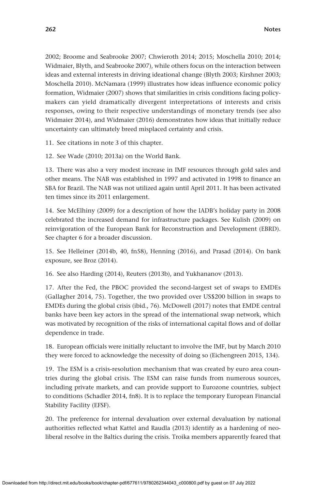2002; Broome and Seabrooke 2007; Chwieroth 2014; 2015; Moschella 2010; 2014; Widmaier, Blyth, and Seabrooke 2007), while others focus on the interaction between ideas and external interests in driving ideational change (Blyth 2003; Kirshner 2003; Moschella 2010). McNamara (1999) illustrates how ideas influence economic policy formation, Widmaier (2007) shows that similarities in crisis conditions facing policymakers can yield dramatically divergent interpretations of interests and crisis responses, owing to their respective understandings of monetary trends (see also Widmaier 2014), and Widmaier (2016) demonstrates how ideas that initially reduce uncertainty can ultimately breed misplaced certainty and crisis.

11. See citations in note 3 of this chapter.

12. See Wade (2010; 2013a) on the World Bank.

13. There was also a very modest increase in IMF resources through gold sales and other means. The NAB was established in 1997 and activated in 1998 to finance an SBA for Brazil. The NAB was not utilized again until April 2011. It has been activated ten times since its 2011 enlargement.

14. See McElhiny (2009) for a description of how the IADB's holiday party in 2008 celebrated the increased demand for infrastructure packages. See Kulish (2009) on reinvigoration of the European Bank for Reconstruction and Development (EBRD). See chapter 6 for a broader discussion.

15. See Helleiner (2014b, 40, fn58), Henning (2016), and Prasad (2014). On bank exposure, see Broz (2014).

16. See also Harding (2014), Reuters (2013b), and Yukhananov (2013).

17. After the Fed, the PBOC provided the second-largest set of swaps to EMDEs (Gallagher 2014, 75). Together, the two provided over US\$200 billion in swaps to EMDEs during the global crisis (ibid., 76). McDowell (2017) notes that EMDE central banks have been key actors in the spread of the international swap network, which was motivated by recognition of the risks of international capital flows and of dollar dependence in trade.

18. European officials were initially reluctant to involve the IMF, but by March 2010 they were forced to acknowledge the necessity of doing so (Eichengreen 2015, 134).

19. The ESM is a crisis-resolution mechanism that was created by euro area countries during the global crisis. The ESM can raise funds from numerous sources, including private markets, and can provide support to Eurozone countries, subject to conditions (Schadler 2014, fn8). It is to replace the temporary European Financial Stability Facility (EFSF).

20. The preference for internal devaluation over external devaluation by national authorities reflected what Kattel and Raudla (2013) identify as a hardening of neoliberal resolve in the Baltics during the crisis. Troika members apparently feared that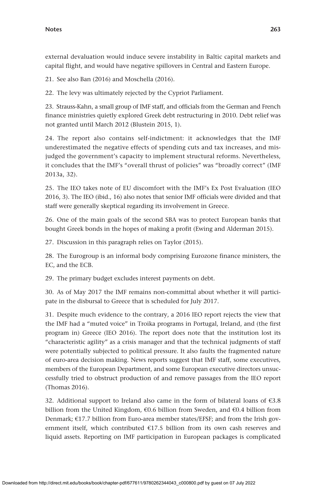external devaluation would induce severe instability in Baltic capital markets and capital flight, and would have negative spillovers in Central and Eastern Europe.

21. See also Ban (2016) and Moschella (2016).

22. The levy was ultimately rejected by the Cypriot Parliament.

23. Strauss-Kahn, a small group of IMF staff, and officials from the German and French finance ministries quietly explored Greek debt restructuring in 2010. Debt relief was not granted until March 2012 (Blustein 2015, 1).

24. The report also contains self-indictment: it acknowledges that the IMF underestimated the negative effects of spending cuts and tax increases, and misjudged the government's capacity to implement structural reforms. Nevertheless, it concludes that the IMF's "overall thrust of policies" was "broadly correct" (IMF 2013a, 32).

25. The IEO takes note of EU discomfort with the IMF's Ex Post Evaluation (IEO 2016, 3). The IEO (ibid., 16) also notes that senior IMF officials were divided and that staff were generally skeptical regarding its involvement in Greece.

26. One of the main goals of the second SBA was to protect European banks that bought Greek bonds in the hopes of making a profit (Ewing and Alderman 2015).

27. Discussion in this paragraph relies on Taylor (2015).

28. The Eurogroup is an informal body comprising Eurozone finance ministers, the EC, and the ECB.

29. The primary budget excludes interest payments on debt.

30. As of May 2017 the IMF remains non-committal about whether it will participate in the disbursal to Greece that is scheduled for July 2017.

31. Despite much evidence to the contrary, a 2016 IEO report rejects the view that the IMF had a "muted voice" in Troika programs in Portugal, Ireland, and (the first program in) Greece (IEO 2016). The report does note that the institution lost its "characteristic agility" as a crisis manager and that the technical judgments of staff were potentially subjected to political pressure. It also faults the fragmented nature of euro-area decision making. News reports suggest that IMF staff, some executives, members of the European Department, and some European executive directors unsuccessfully tried to obstruct production of and remove passages from the IEO report (Thomas 2016).

32. Additional support to Ireland also came in the form of bilateral loans of  $\epsilon$ 3.8 billion from the United Kingdom, €0.6 billion from Sweden, and €0.4 billion from Denmark; €17.7 billion from Euro-area member states/EFSF; and from the Irish government itself, which contributed €17.5 billion from its own cash reserves and liquid assets. Reporting on IMF participation in European packages is complicated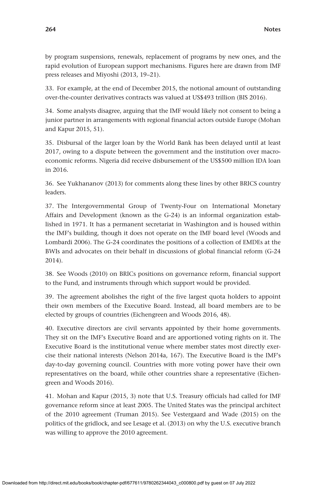by program suspensions, renewals, replacement of programs by new ones, and the rapid evolution of European support mechanisms. Figures here are drawn from IMF press releases and Miyoshi (2013, 19–21).

33. For example, at the end of December 2015, the notional amount of outstanding over-the-counter derivatives contracts was valued at US\$493 trillion (BIS 2016).

34. Some analysts disagree, arguing that the IMF would likely not consent to being a junior partner in arrangements with regional financial actors outside Europe (Mohan and Kapur 2015, 51).

35. Disbursal of the larger loan by the World Bank has been delayed until at least 2017, owing to a dispute between the government and the institution over macroeconomic reforms. Nigeria did receive disbursement of the US\$500 million IDA loan in 2016.

36. See Yukhananov (2013) for comments along these lines by other BRICS country leaders.

37. The Intergovernmental Group of Twenty-Four on International Monetary Affairs and Development (known as the G-24) is an informal organization established in 1971. It has a permanent secretariat in Washington and is housed within the IMF's building, though it does not operate on the IMF board level (Woods and Lombardi 2006). The G-24 coordinates the positions of a collection of EMDEs at the BWIs and advocates on their behalf in discussions of global financial reform (G-24 2014).

38. See Woods (2010) on BRICs positions on governance reform, financial support to the Fund, and instruments through which support would be provided.

39. The agreement abolishes the right of the five largest quota holders to appoint their own members of the Executive Board. Instead, all board members are to be elected by groups of countries (Eichengreen and Woods 2016, 48).

40. Executive directors are civil servants appointed by their home governments. They sit on the IMF's Executive Board and are apportioned voting rights on it. The Executive Board is the institutional venue where member states most directly exercise their national interests (Nelson 2014a, 167). The Executive Board is the IMF's day-to-day governing council. Countries with more voting power have their own representatives on the board, while other countries share a representative (Eichengreen and Woods 2016).

41. Mohan and Kapur (2015, 3) note that U.S. Treasury officials had called for IMF governance reform since at least 2005. The United States was the principal architect of the 2010 agreement (Truman 2015). See Vestergaard and Wade (2015) on the politics of the gridlock, and see Lesage et al. (2013) on why the U.S. executive branch was willing to approve the 2010 agreement.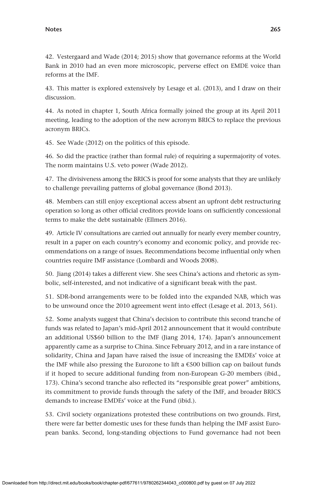42. Vestergaard and Wade (2014; 2015) show that governance reforms at the World Bank in 2010 had an even more microscopic, perverse effect on EMDE voice than reforms at the IMF.

43. This matter is explored extensively by Lesage et al. (2013), and I draw on their discussion.

44. As noted in chapter 1, South Africa formally joined the group at its April 2011 meeting, leading to the adoption of the new acronym BRICS to replace the previous acronym BRICs.

45. See Wade (2012) on the politics of this episode.

46. So did the practice (rather than formal rule) of requiring a supermajority of votes. The norm maintains U.S. veto power (Wade 2012).

47. The divisiveness among the BRICS is proof for some analysts that they are unlikely to challenge prevailing patterns of global governance (Bond 2013).

48. Members can still enjoy exceptional access absent an upfront debt restructuring operation so long as other official creditors provide loans on sufficiently concessional terms to make the debt sustainable (Ellmers 2016).

49. Article IV consultations are carried out annually for nearly every member country, result in a paper on each country's economy and economic policy, and provide recommendations on a range of issues. Recommendations become influential only when countries require IMF assistance (Lombardi and Woods 2008).

50. Jiang (2014) takes a different view. She sees China's actions and rhetoric as symbolic, self-interested, and not indicative of a significant break with the past.

51. SDR-bond arrangements were to be folded into the expanded NAB, which was to be unwound once the 2010 agreement went into effect (Lesage et al. 2013, 561).

52. Some analysts suggest that China's decision to contribute this second tranche of funds was related to Japan's mid-April 2012 announcement that it would contribute an additional US\$60 billion to the IMF (Jiang 2014, 174). Japan's announcement apparently came as a surprise to China. Since February 2012, and in a rare instance of solidarity, China and Japan have raised the issue of increasing the EMDEs' voice at the IMF while also pressing the Eurozone to lift a  $€500$  billion cap on bailout funds if it hoped to secure additional funding from non-European G-20 members (ibid., 173). China's second tranche also reflected its "responsible great power" ambitions, its commitment to provide funds through the safety of the IMF, and broader BRICS demands to increase EMDEs' voice at the Fund (ibid.).

53. Civil society organizations protested these contributions on two grounds. First, there were far better domestic uses for these funds than helping the IMF assist European banks. Second, long-standing objections to Fund governance had not been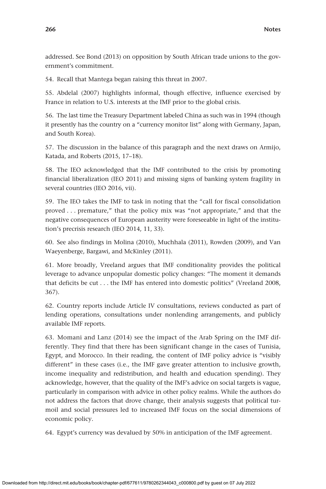addressed. See Bond (2013) on opposition by South African trade unions to the government's commitment.

54. Recall that Mantega began raising this threat in 2007.

55. Abdelal (2007) highlights informal, though effective, influence exercised by France in relation to U.S. interests at the IMF prior to the global crisis.

56. The last time the Treasury Department labeled China as such was in 1994 (though it presently has the country on a "currency monitor list" along with Germany, Japan, and South Korea).

57. The discussion in the balance of this paragraph and the next draws on Armijo, Katada, and Roberts (2015, 17–18).

58. The IEO acknowledged that the IMF contributed to the crisis by promoting financial liberalization (IEO 2011) and missing signs of banking system fragility in several countries (IEO 2016, vii).

59. The IEO takes the IMF to task in noting that the "call for fiscal consolidation proved . . . premature," that the policy mix was "not appropriate," and that the negative consequences of European austerity were foreseeable in light of the institution's precrisis research (IEO 2014, 11, 33).

60. See also findings in Molina (2010), Muchhala (2011), Rowden (2009), and Van Waeyenberge, Bargawi, and McKinley (2011).

61. More broadly, Vreeland argues that IMF conditionality provides the political leverage to advance unpopular domestic policy changes: "The moment it demands that deficits be cut . . . the IMF has entered into domestic politics" (Vreeland 2008, 367).

62. Country reports include Article IV consultations, reviews conducted as part of lending operations, consultations under nonlending arrangements, and publicly available IMF reports.

63. Momani and Lanz (2014) see the impact of the Arab Spring on the IMF differently. They find that there has been significant change in the cases of Tunisia, Egypt, and Morocco. In their reading, the content of IMF policy advice is "visibly different" in these cases (i.e., the IMF gave greater attention to inclusive growth, income inequality and redistribution, and health and education spending). They acknowledge, however, that the quality of the IMF's advice on social targets is vague, particularly in comparison with advice in other policy realms. While the authors do not address the factors that drove change, their analysis suggests that political turmoil and social pressures led to increased IMF focus on the social dimensions of economic policy.

64. Egypt's currency was devalued by 50% in anticipation of the IMF agreement.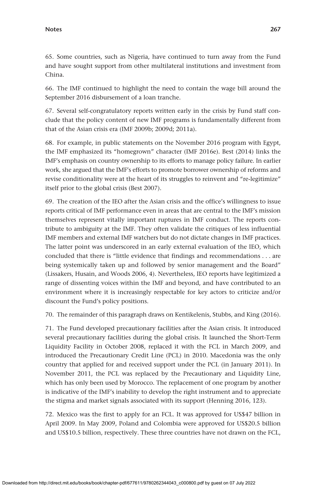65. Some countries, such as Nigeria, have continued to turn away from the Fund and have sought support from other multilateral institutions and investment from China.

66. The IMF continued to highlight the need to contain the wage bill around the September 2016 disbursement of a loan tranche.

67. Several self-congratulatory reports written early in the crisis by Fund staff conclude that the policy content of new IMF programs is fundamentally different from that of the Asian crisis era (IMF 2009b; 2009d; 2011a).

68. For example, in public statements on the November 2016 program with Egypt, the IMF emphasized its "homegrown" character (IMF 2016e). Best (2014) links the IMF's emphasis on country ownership to its efforts to manage policy failure. In earlier work, she argued that the IMF's efforts to promote borrower ownership of reforms and revise conditionality were at the heart of its struggles to reinvent and "re-legitimize" itself prior to the global crisis (Best 2007).

69. The creation of the IEO after the Asian crisis and the office's willingness to issue reports critical of IMF performance even in areas that are central to the IMF's mission themselves represent vitally important ruptures in IMF conduct. The reports contribute to ambiguity at the IMF. They often validate the critiques of less influential IMF members and external IMF watchers but do not dictate changes in IMF practices. The latter point was underscored in an early external evaluation of the IEO, which concluded that there is "little evidence that findings and recommendations . . . are being systemically taken up and followed by senior management and the Board" (Lissakers, Husain, and Woods 2006, 4). Nevertheless, IEO reports have legitimized a range of dissenting voices within the IMF and beyond, and have contributed to an environment where it is increasingly respectable for key actors to criticize and/or discount the Fund's policy positions.

70. The remainder of this paragraph draws on Kentikelenis, Stubbs, and King (2016).

71. The Fund developed precautionary facilities after the Asian crisis. It introduced several precautionary facilities during the global crisis. It launched the Short-Term Liquidity Facility in October 2008, replaced it with the FCL in March 2009, and introduced the Precautionary Credit Line (PCL) in 2010. Macedonia was the only country that applied for and received support under the PCL (in January 2011). In November 2011, the PCL was replaced by the Precautionary and Liquidity Line, which has only been used by Morocco. The replacement of one program by another is indicative of the IMF's inability to develop the right instrument and to appreciate the stigma and market signals associated with its support (Henning 2016, 123).

72. Mexico was the first to apply for an FCL. It was approved for US\$47 billion in April 2009. In May 2009, Poland and Colombia were approved for US\$20.5 billion and US\$10.5 billion, respectively. These three countries have not drawn on the FCL,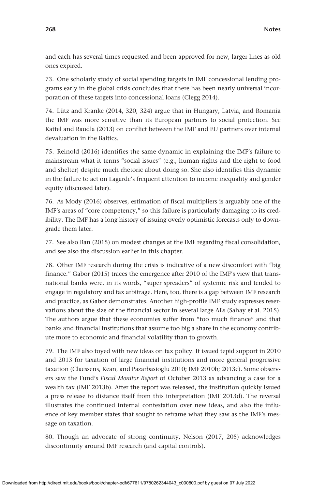and each has several times requested and been approved for new, larger lines as old ones expired.

73. One scholarly study of social spending targets in IMF concessional lending programs early in the global crisis concludes that there has been nearly universal incorporation of these targets into concessional loans (Clegg 2014).

74. Lütz and Kranke (2014, 320, 324) argue that in Hungary, Latvia, and Romania the IMF was more sensitive than its European partners to social protection. See Kattel and Raudla (2013) on conflict between the IMF and EU partners over internal devaluation in the Baltics.

75. Reinold (2016) identifies the same dynamic in explaining the IMF's failure to mainstream what it terms "social issues" (e.g., human rights and the right to food and shelter) despite much rhetoric about doing so. She also identifies this dynamic in the failure to act on Lagarde's frequent attention to income inequality and gender equity (discussed later).

76. As Mody (2016) observes, estimation of fiscal multipliers is arguably one of the IMF's areas of "core competency," so this failure is particularly damaging to its credibility. The IMF has a long history of issuing overly optimistic forecasts only to downgrade them later.

77. See also Ban (2015) on modest changes at the IMF regarding fiscal consolidation, and see also the discussion earlier in this chapter.

78. Other IMF research during the crisis is indicative of a new discomfort with "big finance." Gabor (2015) traces the emergence after 2010 of the IMF's view that transnational banks were, in its words, "super spreaders" of systemic risk and tended to engage in regulatory and tax arbitrage. Here, too, there is a gap between IMF research and practice, as Gabor demonstrates. Another high-profile IMF study expresses reservations about the size of the financial sector in several large AEs (Sahay et al. 2015). The authors argue that these economies suffer from "too much finance" and that banks and financial institutions that assume too big a share in the economy contribute more to economic and financial volatility than to growth.

79. The IMF also toyed with new ideas on tax policy. It issued tepid support in 2010 and 2013 for taxation of large financial institutions and more general progressive taxation (Claessens, Kean, and Pazarbasioglu 2010; IMF 2010b; 2013c). Some observers saw the Fund's *Fiscal Monitor Report* of October 2013 as advancing a case for a wealth tax (IMF 2013b). After the report was released, the institution quickly issued a press release to distance itself from this interpretation (IMF 2013d). The reversal illustrates the continued internal contestation over new ideas, and also the influence of key member states that sought to reframe what they saw as the IMF's message on taxation.

80. Though an advocate of strong continuity, Nelson (2017, 205) acknowledges discontinuity around IMF research (and capital controls).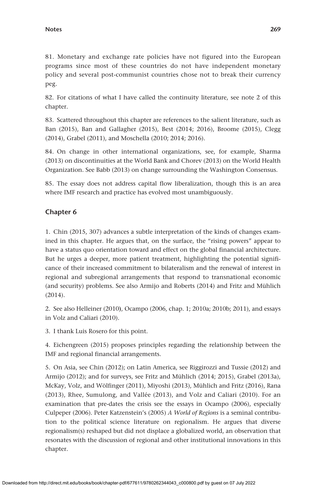81. Monetary and exchange rate policies have not figured into the European programs since most of these countries do not have independent monetary policy and several post-communist countries chose not to break their currency peg.

82. For citations of what I have called the continuity literature, see note 2 of this chapter.

83. Scattered throughout this chapter are references to the salient literature, such as Ban (2015), Ban and Gallagher (2015), Best (2014; 2016), Broome (2015), Clegg (2014), Grabel (2011), and Moschella (2010; 2014; 2016).

84. On change in other international organizations, see, for example, Sharma (2013) on discontinuities at the World Bank and Chorev (2013) on the World Health Organization. See Babb (2013) on change surrounding the Washington Consensus.

85. The essay does not address capital flow liberalization, though this is an area where IMF research and practice has evolved most unambiguously.

### **Chapter 6**

1. Chin (2015, 307) advances a subtle interpretation of the kinds of changes examined in this chapter. He argues that, on the surface, the "rising powers" appear to have a status quo orientation toward and effect on the global financial architecture. But he urges a deeper, more patient treatment, highlighting the potential significance of their increased commitment to bilateralism and the renewal of interest in regional and subregional arrangements that respond to transnational economic (and security) problems. See also Armijo and Roberts (2014) and Fritz and Mühlich (2014).

2. See also Helleiner (2010**)**, Ocampo (2006, chap. 1; 2010a; 2010b; 2011), and essays in Volz and Caliari (2010).

3. I thank Luis Rosero for this point.

4. Eichengreen (2015) proposes principles regarding the relationship between the IMF and regional financial arrangements.

5. On Asia, see Chin (2012); on Latin America, see Riggirozzi and Tussie (2012) and Armijo (2012); and for surveys, see Fritz and Mühlich (2014; 2015), Grabel (2013a), McKay, Volz, and Wölfinger (2011), Miyoshi (2013), Mühlich and Fritz (2016), Rana (2013), Rhee, Sumulong, and Vallée (2013), and Volz and Caliari (2010). For an examination that pre-dates the crisis see the essays in Ocampo (2006), especially Culpeper (2006). Peter Katzenstein's (2005) *A World of Regions* is a seminal contribution to the political science literature on regionalism. He argues that diverse regionalism(s) reshaped but did not displace a globalized world, an observation that resonates with the discussion of regional and other institutional innovations in this chapter.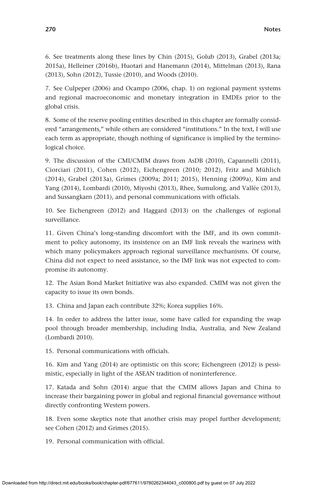6. See treatments along these lines by Chin (2015), Golub (2013), Grabel (2013a; 2015a), Helleiner (2016b), Huotari and Hanemann (2014), Mittelman (2013), Rana (2013), Sohn (2012), Tussie (2010), and Woods (2010).

7. See Culpeper (2006) and Ocampo (2006, chap. 1) on regional payment systems and regional macroeconomic and monetary integration in EMDEs prior to the global crisis.

8. Some of the reserve pooling entities described in this chapter are formally considered "arrangements," while others are considered "institutions." In the text, I will use each term as appropriate, though nothing of significance is implied by the terminological choice.

9. The discussion of the CMI/CMIM draws from AsDB (2010), Capannelli (2011), Ciorciari (2011), Cohen (2012), Eichengreen (2010; 2012), Fritz and Mühlich (2014), Grabel (2013a), Grimes (2009a; 2011; 2015), Henning (2009a), Kim and Yang (2014), Lombardi (2010), Miyoshi (2013), Rhee, Sumulong, and Vallée (2013), and Sussangkarn (2011), and personal communications with officials.

10. See Eichengreen (2012) and Haggard (2013) on the challenges of regional surveillance.

11. Given China's long-standing discomfort with the IMF, and its own commitment to policy autonomy, its insistence on an IMF link reveals the wariness with which many policymakers approach regional surveillance mechanisms. Of course, China did not expect to need assistance, so the IMF link was not expected to compromise *its* autonomy.

12. The Asian Bond Market Initiative was also expanded. CMIM was not given the capacity to issue its own bonds.

13. China and Japan each contribute 32%; Korea supplies 16%.

14. In order to address the latter issue, some have called for expanding the swap pool through broader membership, including India, Australia, and New Zealand (Lombardi 2010).

15. Personal communications with officials.

16. Kim and Yang (2014) are optimistic on this score; Eichengreen (2012) is pessimistic, especially in light of the ASEAN tradition of noninterference.

17. Katada and Sohn (2014) argue that the CMIM allows Japan and China to increase their bargaining power in global and regional financial governance without directly confronting Western powers.

18. Even some skeptics note that another crisis may propel further development; see Cohen (2012) and Grimes (2015).

19. Personal communication with official.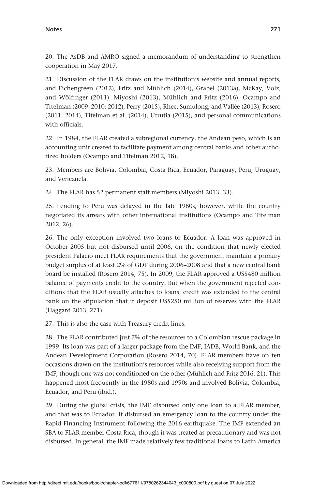20. The AsDB and AMRO signed a memorandum of understanding to strengthen cooperation in May 2017.

21. Discussion of the FLAR draws on the institution's website and annual reports, and Eichengreen (2012), Fritz and Mühlich (2014), Grabel (2013a), McKay, Volz, and Wölfinger (2011), Miyoshi (2013), Mühlich and Fritz (2016), Ocampo and Titelman (2009–2010; 2012), Perry (2015), Rhee, Sumulong, and Vallée (2013), Rosero (2011; 2014), Titelman et al. (2014), Urrutia (2015), and personal communications with officials.

22. In 1984, the FLAR created a subregional currency, the Andean peso, which is an accounting unit created to facilitate payment among central banks and other authorized holders (Ocampo and Titelman 2012, 18).

23. Members are Bolivia, Colombia, Costa Rica, Ecuador, Paraguay, Peru, Uruguay, and Venezuela.

24. The FLAR has 52 permanent staff members (Miyoshi 2013, 33).

25. Lending to Peru was delayed in the late 1980s, however, while the country negotiated its arrears with other international institutions (Ocampo and Titelman 2012, 26).

26. The only exception involved two loans to Ecuador. A loan was approved in October 2005 but not disbursed until 2006, on the condition that newly elected president Palacio meet FLAR requirements that the government maintain a primary budget surplus of at least 2% of GDP during 2006–2008 and that a new central bank board be installed (Rosero 2014, 75). In 2009, the FLAR approved a US\$480 million balance of payments credit to the country. But when the government rejected conditions that the FLAR usually attaches to loans, credit was extended to the central bank on the stipulation that it deposit US\$250 million of reserves with the FLAR (Haggard 2013, 271).

27. This is also the case with Treasury credit lines.

28. The FLAR contributed just 7% of the resources to a Colombian rescue package in 1999. Its loan was part of a larger package from the IMF, IADB, World Bank, and the Andean Development Corporation (Rosero 2014, 70). FLAR members have on ten occasions drawn on the institution's resources while also receiving support from the IMF, though one was not conditioned on the other (Mühlich and Fritz 2016, 21). This happened most frequently in the 1980s and 1990s and involved Bolivia, Colombia, Ecuador, and Peru (ibid.).

29. During the global crisis, the IMF disbursed only one loan to a FLAR member, and that was to Ecuador. It disbursed an emergency loan to the country under the Rapid Financing Instrument following the 2016 earthquake. The IMF extended an SBA to FLAR member Costa Rica, though it was treated as precautionary and was not disbursed. In general, the IMF made relatively few traditional loans to Latin America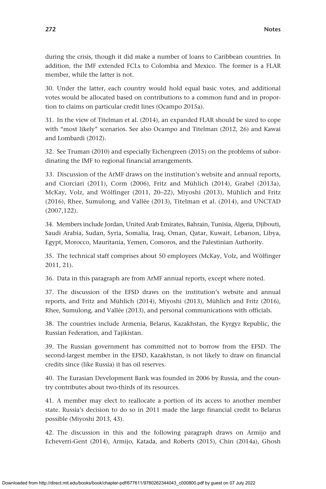during the crisis, though it did make a number of loans to Caribbean countries. In addition, the IMF extended FCLs to Colombia and Mexico. The former is a FLAR member, while the latter is not.

30. Under the latter, each country would hold equal basic votes, and additional votes would be allocated based on contributions to a common fund and in proportion to claims on particular credit lines (Ocampo 2015a).

31. In the view of Titelman et al. (2014), an expanded FLAR should be sized to cope with "most likely" scenarios. See also Ocampo and Titelman (2012, 26) and Kawai and Lombardi (2012).

32. See Truman (2010) and especially Eichengreen (2015) on the problems of subordinating the IMF to regional financial arrangements.

33. Discussion of the ArMF draws on the institution's website and annual reports, and Ciorciari (2011), Corm (2006), Fritz and Mühlich (2014), Grabel (2013a), McKay, Volz, and Wölfinger (2011, 20–22), Miyoshi (2013), Mühlich and Fritz (2016), Rhee, Sumulong, and Vallée (2013), Titelman et al. (2014), and UNCTAD (2007,122).

34. Members include Jordan, United Arab Emirates, Bahrain, Tunisia, Algeria, Djibouti, Saudi Arabia, Sudan, Syria, Somalia, Iraq, Oman, Qatar, Kuwait, Lebanon, Libya, Egypt, Morocco, Mauritania, Yemen, Comoros, and the Palestinian Authority.

35. The technical staff comprises about 50 employees (McKay, Volz, and Wölfinger 2011, 21).

36. Data in this paragraph are from ArMF annual reports, except where noted.

37. The discussion of the EFSD draws on the institution's website and annual reports, and Fritz and Mühlich (2014), Miyoshi (2013), Mühlich and Fritz (2016), Rhee, Sumulong, and Vallée (2013), and personal communications with officials.

38. The countries include Armenia, Belarus, Kazakhstan, the Kyrgyz Republic, the Russian Federation, and Tajikistan.

39. The Russian government has committed not to borrow from the EFSD. The second-largest member in the EFSD, Kazakhstan, is not likely to draw on financial credits since (like Russia) it has oil reserves.

40. The Eurasian Development Bank was founded in 2006 by Russia, and the country contributes about two-thirds of its resources.

41. A member may elect to reallocate a portion of its access to another member state. Russia's decision to do so in 2011 made the large financial credit to Belarus possible (Miyoshi 2013, 43).

42. The discussion in this and the following paragraph draws on Armijo and Echeverri-Gent (2014), Armijo, Katada, and Roberts (2015), Chin (2014a), Ghosh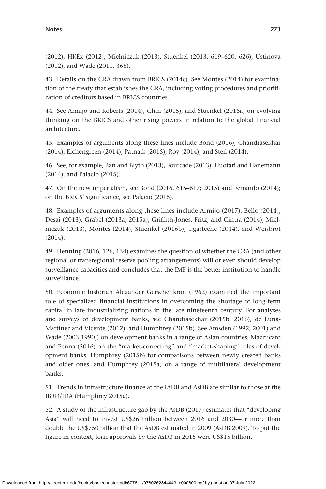(2012), HKEx (2012), Mielniczuk (2013), Stuenkel (2013, 619–620, 626), Ustinova (2012), and Wade (2011, 365).

43. Details on the CRA drawn from BRICS (2014c). See Montes (2014) for examination of the treaty that establishes the CRA, including voting procedures and prioritization of creditors based in BRICS countries.

44. See Armijo and Roberts (2014), Chin (2015), and Stuenkel (2016a) on evolving thinking on the BRICS and other rising powers in relation to the global financial architecture.

45. Examples of arguments along these lines include Bond (2016), Chandrasekhar (2014), Eichengreen (2014), Patnaik (2015), Roy (2014), and Steil (2014).

46. See, for example, Ban and Blyth (2013), Fourcade (2013), Huotari and Hanemann (2014), and Palacio (2015).

47. On the new imperialism, see Bond (2016, 615–617; 2015) and Ferrando (2014); on the BRICS' significance, see Palacio (2015).

48. Examples of arguments along these lines include Armijo (2017), Bello (2014), Desai (2013), Grabel (2013a; 2015a), Griffith-Jones, Fritz, and Cintra (2014), Mielniczuk (2013), Montes (2014), Stuenkel (2016b), Ugarteche (2014), and Weisbrot (2014).

49. Henning (2016, 126, 134) examines the question of whether the CRA (and other regional or transregional reserve pooling arrangements) will or even should develop surveillance capacities and concludes that the IMF is the better institution to handle surveillance.

50. Economic historian Alexander Gerschenkron (1962) examined the important role of specialized financial institutions in overcoming the shortage of long-term capital in late industrializing nations in the late nineteenth century. For analyses and surveys of development banks, see Chandrasekhar (2015b; 2016), de Luna-Martínez and Vicente (2012), and Humphrey (2015b). See Amsden (1992; 2001) and Wade (2003[1990]) on development banks in a range of Asian countries; Mazzucato and Penna (2016) on the "market-correcting" and "market-shaping" roles of development banks; Humphrey (2015b) for comparisons between newly created banks and older ones; and Humphrey (2015a) on a range of multilateral development banks.

51. Trends in infrastructure finance at the IADB and AsDB are similar to those at the IBRD/IDA (Humphrey 2015a).

52. A study of the infrastructure gap by the AsDB (2017) estimates that "developing Asia" will need to invest US\$26 trillion between 2016 and 2030—or more than double the US\$750 billion that the AsDB estimated in 2009 (AsDB 2009). To put the figure in context, loan approvals by the AsDB in 2015 were US\$15 billion.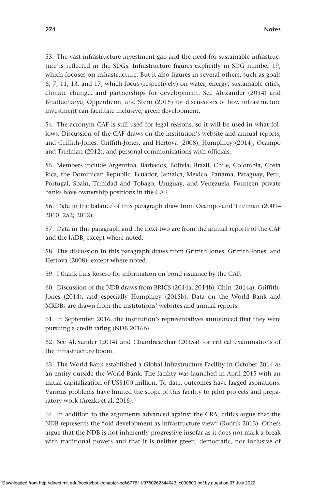53. The vast infrastructure investment gap and the need for sustainable infrastructure is reflected in the SDGs. Infrastructure figures explicitly in SDG number 19, which focuses on infrastructure. But it also figures in several others, such as goals 6, 7, 11, 13, and 17, which focus (respectively) on water, energy, sustainable cities, climate change, and partnerships for development. See Alexander (2014) and Bhattacharya, Oppenheim, and Stern (2015) for discussions of how infrastructure investment can facilitate inclusive, green development.

54. The acronym CAF is still used for legal reasons, so it will be used in what follows. Discussion of the CAF draws on the institution's website and annual reports, and Griffith-Jones, Griffith-Jones, and Hertova (2008), Humphrey (2014), Ocampo and Titelman (2012), and personal communications with officials.

55. Members include Argentina, Barbados, Bolivia, Brazil, Chile, Colombia, Costa Rica, the Dominican Republic, Ecuador, Jamaica, Mexico, Panama, Paraguay, Peru, Portugal, Spain, Trinidad and Tobago, Uruguay, and Venezuela. Fourteen private banks have ownership positions in the CAF.

56. Data in the balance of this paragraph draw from Ocampo and Titelman (2009– 2010, 252; 2012).

57. Data in this paragraph and the next two are from the annual reports of the CAF and the IADB, except where noted.

58. The discussion in this paragraph draws from Griffith-Jones, Griffith-Jones, and Hertova (2008), except where noted.

59. I thank Luis Rosero for information on bond issuance by the CAF.

60. Discussion of the NDB draws from BRICS (2014a, 2014b), Chin (2014a), Griffith-Jones (2014), and especially Humphrey (2015b). Data on the World Bank and MRDBs are drawn from the institutions' websites and annual reports.

61. In September 2016, the institution's representatives announced that they were pursuing a credit rating (NDB 2016b).

62. See Alexander (2014) and Chandrasekhar (2015a) for critical examinations of the infrastructure boom.

63. The World Bank established a Global Infrastructure Facility in October 2014 as an entity outside the World Bank. The facility was launched in April 2015 with an initial capitalization of US\$100 million. To date, outcomes have lagged aspirations. Various problems have limited the scope of this facility to pilot projects and preparatory work (Arezki et al. 2016).

64. In addition to the arguments advanced against the CRA, critics argue that the NDB represents the "old development as infrastructure view" (Rodrik 2013). Others argue that the NDB is not inherently progressive insofar as it does not mark a break with traditional powers and that it is neither green, democratic, nor inclusive of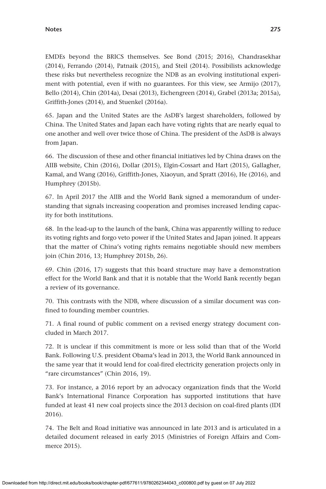#### **Notes 275**

EMDEs beyond the BRICS themselves. See Bond (2015; 2016), Chandrasekhar (2014), Ferrando (2014), Patnaik (2015), and Steil (2014). Possibilists acknowledge these risks but nevertheless recognize the NDB as an evolving institutional experiment with potential, even if with no guarantees. For this view, see Armijo (2017), Bello (2014), Chin (2014a), Desai (2013), Eichengreen (2014), Grabel (2013a; 2015a)**,** Griffith-Jones (2014), and Stuenkel (2016a).

65. Japan and the United States are the AsDB's largest shareholders, followed by China. The United States and Japan each have voting rights that are nearly equal to one another and well over twice those of China. The president of the AsDB is always from Japan.

66. The discussion of these and other financial initiatives led by China draws on the AIIB website, Chin (2016), Dollar (2015), Elgin-Cossart and Hart (2015), Gallagher, Kamal, and Wang (2016), Griffith-Jones, Xiaoyun, and Spratt (2016), He (2016), and Humphrey (2015b).

67. In April 2017 the AIIB and the World Bank signed a memorandum of understanding that signals increasing cooperation and promises increased lending capacity for both institutions.

68. In the lead-up to the launch of the bank, China was apparently willing to reduce its voting rights and forgo veto power if the United States and Japan joined. It appears that the matter of China's voting rights remains negotiable should new members join (Chin 2016, 13; Humphrey 2015b, 26).

69. Chin (2016, 17) suggests that this board structure may have a demonstration effect for the World Bank and that it is notable that the World Bank recently began a review of its governance.

70. This contrasts with the NDB, where discussion of a similar document was confined to founding member countries.

71. A final round of public comment on a revised energy strategy document concluded in March 2017.

72. It is unclear if this commitment is more or less solid than that of the World Bank. Following U.S. president Obama's lead in 2013, the World Bank announced in the same year that it would lend for coal-fired electricity generation projects only in "rare circumstances" (Chin 2016, 19).

73. For instance, a 2016 report by an advocacy organization finds that the World Bank's International Finance Corporation has supported institutions that have funded at least 41 new coal projects since the 2013 decision on coal-fired plants (IDI 2016).

74. The Belt and Road initiative was announced in late 2013 and is articulated in a detailed document released in early 2015 (Ministries of Foreign Affairs and Commerce 2015).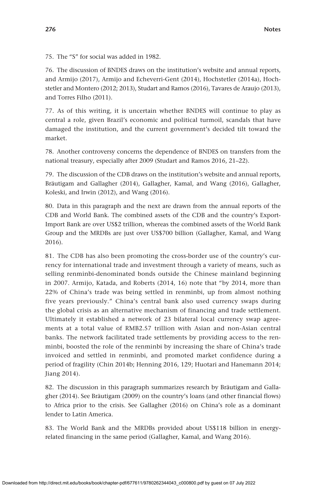75. The "S" for social was added in 1982.

76. The discussion of BNDES draws on the institution's website and annual reports, and Armijo (2017), Armijo and Echeverri-Gent (2014), Hochstetler (2014a), Hochstetler and Montero (2012; 2013), Studart and Ramos (2016), Tavares de Araujo (2013), and Torres Filho (2011).

77. As of this writing, it is uncertain whether BNDES will continue to play as central a role, given Brazil's economic and political turmoil, scandals that have damaged the institution, and the current government's decided tilt toward the market.

78. Another controversy concerns the dependence of BNDES on transfers from the national treasury, especially after 2009 (Studart and Ramos 2016, 21–22).

79. The discussion of the CDB draws on the institution's website and annual reports, Bräutigam and Gallagher (2014), Gallagher, Kamal, and Wang (2016), Gallagher, Koleski, and Irwin (2012), and Wang (2016).

80. Data in this paragraph and the next are drawn from the annual reports of the CDB and World Bank. The combined assets of the CDB and the country's Export-Import Bank are over US\$2 trillion, whereas the combined assets of the World Bank Group and the MRDBs are just over US\$700 billion (Gallagher, Kamal, and Wang 2016).

81. The CDB has also been promoting the cross-border use of the country's currency for international trade and investment through a variety of means, such as selling renminbi-denominated bonds outside the Chinese mainland beginning in 2007. Armijo, Katada, and Roberts (2014, 16) note that "by 2014, more than 22% of China's trade was being settled in renminbi, up from almost nothing five years previously." China's central bank also used currency swaps during the global crisis as an alternative mechanism of financing and trade settlement. Ultimately it established a network of 23 bilateral local currency swap agreements at a total value of RMB2.57 trillion with Asian and non-Asian central banks. The network facilitated trade settlements by providing access to the renminbi, boosted the role of the renminbi by increasing the share of China's trade invoiced and settled in renminbi, and promoted market confidence during a period of fragility (Chin 2014b; Henning 2016, 129; Huotari and Hanemann 2014; Jiang 2014).

82. The discussion in this paragraph summarizes research by Bräutigam and Gallagher (2014). See Bräutigam (2009) on the country's loans (and other financial flows) to Africa prior to the crisis. See Gallagher (2016) on China's role as a dominant lender to Latin America.

83. The World Bank and the MRDBs provided about US\$118 billion in energyrelated financing in the same period (Gallagher, Kamal, and Wang 2016).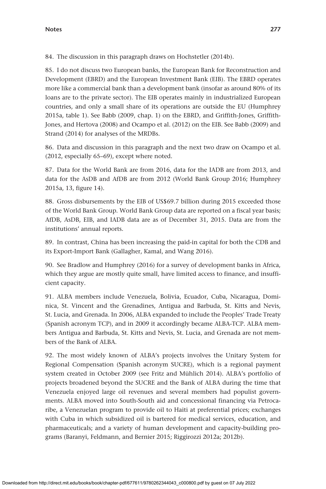84. The discussion in this paragraph draws on Hochstetler (2014b).

85. I do not discuss two European banks, the European Bank for Reconstruction and Development (EBRD) and the European Investment Bank (EIB). The EBRD operates more like a commercial bank than a development bank (insofar as around 80% of its loans are to the private sector). The EIB operates mainly in industrialized European countries, and only a small share of its operations are outside the EU (Humphrey 2015a, table 1). See Babb (2009, chap. 1) on the EBRD, and Griffith-Jones, Griffith-Jones, and Hertova (2008) and Ocampo et al. (2012) on the EIB. See Babb (2009) and Strand (2014) for analyses of the MRDBs.

86. Data and discussion in this paragraph and the next two draw on Ocampo et al. (2012, especially 65–69), except where noted.

87. Data for the World Bank are from 2016, data for the IADB are from 2013, and data for the AsDB and AfDB are from 2012 (World Bank Group 2016; Humphrey 2015a, 13, figure 14).

88. Gross disbursements by the EIB of US\$69.7 billion during 2015 exceeded those of the World Bank Group. World Bank Group data are reported on a fiscal year basis; AfDB, AsDB, EIB, and IADB data are as of December 31, 2015. Data are from the institutions' annual reports.

89. In contrast, China has been increasing the paid-in capital for both the CDB and its Export-Import Bank (Gallagher, Kamal, and Wang 2016).

90. See Bradlow and Humphrey (2016) for a survey of development banks in Africa, which they argue are mostly quite small, have limited access to finance, and insufficient capacity.

91. ALBA members include Venezuela, Bolivia, Ecuador, Cuba, Nicaragua, Dominica, St. Vincent and the Grenadines, Antigua and Barbuda, St. Kitts and Nevis, St. Lucia, and Grenada. In 2006, ALBA expanded to include the Peoples' Trade Treaty (Spanish acronym TCP), and in 2009 it accordingly became ALBA-TCP. ALBA members Antigua and Barbuda, St. Kitts and Nevis, St. Lucia, and Grenada are not members of the Bank of ALBA.

92. The most widely known of ALBA's projects involves the Unitary System for Regional Compensation (Spanish acronym SUCRE), which is a regional payment system created in October 2009 (see Fritz and Mühlich 2014). ALBA's portfolio of projects broadened beyond the SUCRE and the Bank of ALBA during the time that Venezuela enjoyed large oil revenues and several members had populist governments. ALBA moved into South-South aid and concessional financing via Petrocaribe, a Venezuelan program to provide oil to Haiti at preferential prices; exchanges with Cuba in which subsidized oil is bartered for medical services, education, and pharmaceuticals; and a variety of human development and capacity-building programs (Baranyi, Feldmann, and Bernier 2015; Riggirozzi 2012a; 2012b).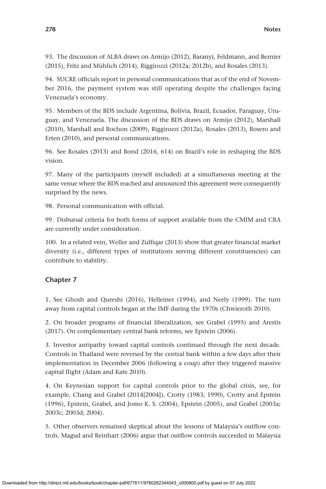93. The discussion of ALBA draws on Armijo (2012), Baranyi, Feldmann, and Bernier (2015), Fritz and Mühlich (2014), Riggirozzi (2012a; 2012b), and Rosales (2013).

94. SUCRE officials report in personal communications that as of the end of November 2016, the payment system was still operating despite the challenges facing Venezuela's economy.

95. Members of the BDS include Argentina, Bolivia, Brazil, Ecuador, Paraguay, Uruguay, and Venezuela. The discussion of the BDS draws on Armijo (2012), Marshall (2010), Marshall and Rochon (2009), Riggirozzi (2012a), Rosales (2013), Rosero and Erten (2010), and personal communications.

96. See Rosales (2013) and Bond (2016, 614) on Brazil's role in reshaping the BDS vision.

97. Many of the participants (myself included) at a simultaneous meeting at the same venue where the BDS reached and announced this agreement were consequently surprised by the news.

98. Personal communication with official.

99. Disbursal criteria for both forms of support available from the CMIM and CRA are currently under consideration.

100. In a related vein, Weller and Zulfiqar (2013) show that greater financial market diversity (i.e., different types of institutions serving different constituencies) can contribute to stability.

#### **Chapter 7**

1. See Ghosh and Qureshi (2016), Helleiner (1994), and Neely (1999). The turn away from capital controls began at the IMF during the 1970s (Chwieroth 2010).

2. On broader programs of financial liberalization, see Grabel (1995) and Arestis (2017). On complementary central bank reforms, see Epstein (2006).

3. Investor antipathy toward capital controls continued through the next decade. Controls in Thailand were reversed by the central bank within a few days after their implementation in December 2006 (following a coup) after they triggered massive capital flight (Adam and Kate 2010).

4. On Keynesian support for capital controls prior to the global crisis, see, for example, Chang and Grabel (2014[2004]), Crotty (1983; 1990), Crotty and Epstein (1996), Epstein, Grabel, and Jomo K. S. (2004), Epstein (2005), and Grabel (2003a; 2003c; 2003d; 2004).

5. Other observers remained skeptical about the lessons of Malaysia's outflow controls. Magud and Reinhart (2006) argue that outflow controls succeeded in Malaysia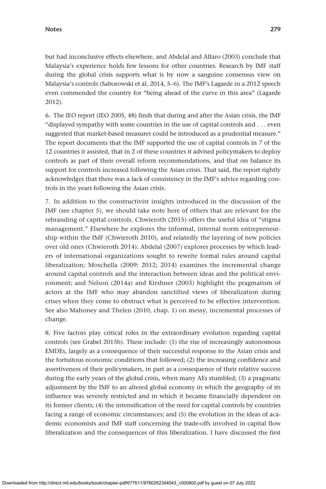but had inconclusive effects elsewhere, and Abdelal and Alfaro (2003) conclude that Malaysia's experience holds few lessons for other countries. Research by IMF staff during the global crisis supports what is by now a sanguine consensus view on Malaysia's controls (Saborowski et al. 2014, 5–6). The IMF's Lagarde in a 2012 speech even commended the country for "being ahead of the curve in this area" (Lagarde 2012).

6. The IEO report (IEO 2005, 48) finds that during and after the Asian crisis, the IMF "displayed sympathy with some countries in the use of capital controls and . . . even suggested that market-based measures could be introduced as a prudential measure." The report documents that the IMF supported the use of capital controls in 7 of the 12 countries it assisted, that in 2 of these countries it advised policymakers to deploy controls as part of their overall reform recommendations, and that on balance its support for controls increased following the Asian crisis. That said, the report rightly acknowledges that there was a lack of consistency in the IMF's advice regarding controls in the years following the Asian crisis.

7. In addition to the constructivist insights introduced in the discussion of the IMF (see chapter 5), we should take note here of others that are relevant for the rebranding of capital controls. Chwieroth (2015) offers the useful idea of "stigma management." Elsewhere he explores the informal, internal norm entrepreneurship within the IMF (Chwieroth 2010), and relatedly the layering of new policies over old ones (Chwieroth 2014). Abdelal (2007) explores processes by which leaders of international organizations sought to rewrite formal rules around capital liberalization; Moschella (2009; 2012; 2014) examines the incremental change around capital controls and the interaction between ideas and the political environment; and Nelson (2014a) and Kirshner (2003) highlight the pragmatism of actors at the IMF who may abandon sanctified views of liberalization during crises when they come to obstruct what is perceived to be effective intervention. See also Mahoney and Thelen (2010, chap. 1) on messy, incremental processes of change.

8. Five factors play critical roles in the extraordinary evolution regarding capital controls (see Grabel 2015b). These include: (1) the rise of increasingly autonomous EMDEs, largely as a consequence of their successful response to the Asian crisis and the fortuitous economic conditions that followed; (2) the increasing confidence and assertiveness of their policymakers, in part as a consequence of their relative success during the early years of the global crisis, when many AEs stumbled; (3) a pragmatic adjustment by the IMF to an altered global economy in which the geography of its influence was severely restricted and in which it became financially dependent on its former clients; (4) the intensification of the need for capital controls by countries facing a range of economic circumstances; and (5) the evolution in the ideas of academic economists and IMF staff concerning the trade-offs involved in capital flow liberalization and the consequences of this liberalization. I have discussed the first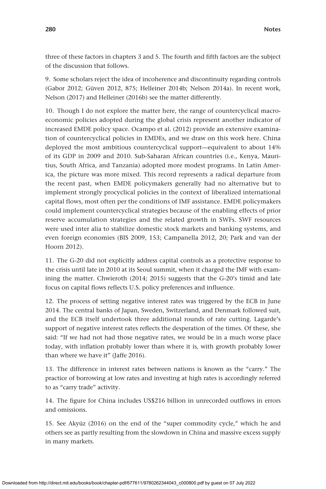three of these factors in chapters 3 and 5. The fourth and fifth factors are the subject of the discussion that follows.

9. Some scholars reject the idea of incoherence and discontinuity regarding controls (Gabor 2012; Güven 2012, 875; Helleiner 2014b; Nelson 2014a). In recent work, Nelson (2017) and Helleiner (2016b) see the matter differently.

10. Though I do not explore the matter here, the range of countercyclical macroeconomic policies adopted during the global crisis represent another indicator of increased EMDE policy space. Ocampo et al. (2012) provide an extensive examination of countercyclical policies in EMDEs, and we draw on this work here. China deployed the most ambitious countercyclical support—equivalent to about 14% of its GDP in 2009 and 2010. Sub-Saharan African countries (i.e., Kenya, Mauritius, South Africa, and Tanzania) adopted more modest programs. In Latin America, the picture was more mixed. This record represents a radical departure from the recent past, when EMDE policymakers generally had no alternative but to implement strongly procyclical policies in the context of liberalized international capital flows, most often per the conditions of IMF assistance. EMDE policymakers could implement countercyclical strategies because of the enabling effects of prior reserve accumulation strategies and the related growth in SWFs. SWF resources were used inter alia to stabilize domestic stock markets and banking systems, and even foreign economies (BIS 2009, 153; Campanella 2012, 20; Park and van der Hoorn 2012).

11. The G-20 did not explicitly address capital controls as a protective response to the crisis until late in 2010 at its Seoul summit, when it charged the IMF with examining the matter. Chwieroth (2014; 2015) suggests that the G-20's timid and late focus on capital flows reflects U.S. policy preferences and influence.

12. The process of setting negative interest rates was triggered by the ECB in June 2014. The central banks of Japan, Sweden, Switzerland, and Denmark followed suit, and the ECB itself undertook three additional rounds of rate cutting. Lagarde's support of negative interest rates reflects the desperation of the times. Of these, she said: "If we had not had those negative rates, we would be in a much worse place today, with inflation probably lower than where it is, with growth probably lower than where we have it" (Jaffe 2016).

13. The difference in interest rates between nations is known as the "carry." The practice of borrowing at low rates and investing at high rates is accordingly referred to as "carry trade" activity.

14. The figure for China includes US\$216 billion in unrecorded outflows in errors and omissions.

15. See Akyüz (2016) on the end of the "super commodity cycle," which he and others see as partly resulting from the slowdown in China and massive excess supply in many markets.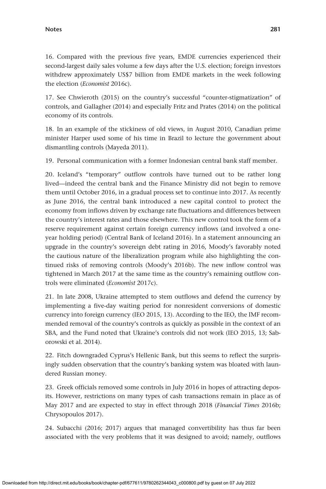16. Compared with the previous five years, EMDE currencies experienced their second-largest daily sales volume a few days after the U.S. election; foreign investors withdrew approximately US\$7 billion from EMDE markets in the week following the election (*Economist* 2016c).

17. See Chwieroth (2015) on the country's successful "counter-stigmatization" of controls, and Gallagher (2014) and especially Fritz and Prates (2014) on the political economy of its controls.

18. In an example of the stickiness of old views, in August 2010, Canadian prime minister Harper used some of his time in Brazil to lecture the government about dismantling controls (Mayeda 2011).

19. Personal communication with a former Indonesian central bank staff member.

20. Iceland's "temporary" outflow controls have turned out to be rather long lived—indeed the central bank and the Finance Ministry did not begin to remove them until October 2016, in a gradual process set to continue into 2017. As recently as June 2016, the central bank introduced a new capital control to protect the economy from inflows driven by exchange rate fluctuations and differences between the country's interest rates and those elsewhere. This new control took the form of a reserve requirement against certain foreign currency inflows (and involved a oneyear holding period) (Central Bank of Iceland 2016). In a statement announcing an upgrade in the country's sovereign debt rating in 2016, Moody's favorably noted the cautious nature of the liberalization program while also highlighting the continued risks of removing controls (Moody's 2016b). The new inflow control was tightened in March 2017 at the same time as the country's remaining outflow controls were eliminated (*Economist* 2017c).

21. In late 2008, Ukraine attempted to stem outflows and defend the currency by implementing a five-day waiting period for nonresident conversions of domestic currency into foreign currency (IEO 2015, 13). According to the IEO, the IMF recommended removal of the country's controls as quickly as possible in the context of an SBA, and the Fund noted that Ukraine's controls did not work (IEO 2015, 13; Saborowski et al. 2014).

22. Fitch downgraded Cyprus's Hellenic Bank, but this seems to reflect the surprisingly sudden observation that the country's banking system was bloated with laundered Russian money.

23. Greek officials removed some controls in July 2016 in hopes of attracting deposits. However, restrictions on many types of cash transactions remain in place as of May 2017 and are expected to stay in effect through 2018 (*Financial Times* 2016b; Chrysopoulos 2017).

24. Subacchi (2016; 2017) argues that managed convertibility has thus far been associated with the very problems that it was designed to avoid; namely, outflows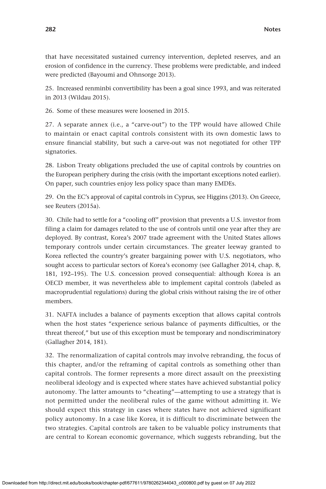that have necessitated sustained currency intervention, depleted reserves, and an erosion of confidence in the currency. These problems were predictable, and indeed were predicted (Bayoumi and Ohnsorge 2013).

25. Increased renminbi convertibility has been a goal since 1993, and was reiterated in 2013 (Wildau 2015).

26. Some of these measures were loosened in 2015.

27. A separate annex (i.e., a "carve-out") to the TPP would have allowed Chile to maintain or enact capital controls consistent with its own domestic laws to ensure financial stability, but such a carve-out was not negotiated for other TPP signatories.

28. Lisbon Treaty obligations precluded the use of capital controls by countries on the European periphery during the crisis (with the important exceptions noted earlier). On paper, such countries enjoy less policy space than many EMDEs.

29. On the EC's approval of capital controls in Cyprus, see Higgins (2013). On Greece, see Reuters (2015a).

30. Chile had to settle for a "cooling off" provision that prevents a U.S. investor from filing a claim for damages related to the use of controls until one year after they are deployed. By contrast, Korea's 2007 trade agreement with the United States allows temporary controls under certain circumstances. The greater leeway granted to Korea reflected the country's greater bargaining power with U.S. negotiators, who sought access to particular sectors of Korea's economy (see Gallagher 2014, chap. 8, 181, 192–195). The U.S. concession proved consequential: although Korea is an OECD member, it was nevertheless able to implement capital controls (labeled as macroprudential regulations) during the global crisis without raising the ire of other members.

31. NAFTA includes a balance of payments exception that allows capital controls when the host states "experience serious balance of payments difficulties, or the threat thereof," but use of this exception must be temporary and nondiscriminatory (Gallagher 2014, 181).

32. The renormalization of capital controls may involve rebranding, the focus of this chapter, and/or the reframing of capital controls as something other than capital controls. The former represents a more direct assault on the preexisting neoliberal ideology and is expected where states have achieved substantial policy autonomy. The latter amounts to "cheating"—attempting to use a strategy that is not permitted under the neoliberal rules of the game without admitting it. We should expect this strategy in cases where states have not achieved significant policy autonomy. In a case like Korea, it is difficult to discriminate between the two strategies. Capital controls are taken to be valuable policy instruments that are central to Korean economic governance, which suggests rebranding, but the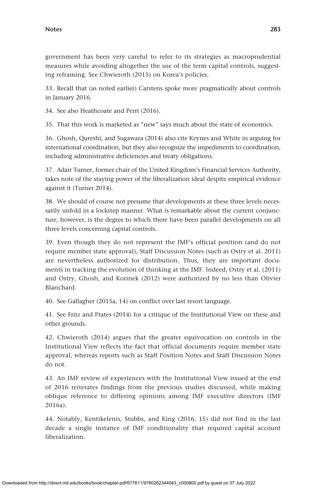government has been very careful to refer to its strategies as macroprudential measures while avoiding altogether the use of the term capital controls, suggesting reframing. See Chwieroth (2015) on Korea's policies.

33. Recall that (as noted earlier) Carstens spoke more pragmatically about controls in January 2016.

34. See also Heathcoate and Perri (2016).

35. That this work is marketed as "new" says much about the state of economics.

36. Ghosh, Qureshi, and Sugawara (2014) also cite Keynes and White in arguing for international coordination, but they also recognize the impediments to coordination, including administrative deficiencies and treaty obligations.

37. Adair Turner, former chair of the United Kingdom's Financial Services Authority, takes note of the staying power of the liberalization ideal despite empirical evidence against it (Turner 2014).

38. We should of course not presume that developments at these three levels necessarily unfold in a lockstep manner. What is remarkable about the current conjuncture, however, is the degree to which there have been parallel developments on all three levels concerning capital controls.

39. Even though they do not represent the IMF's official position (and do not require member state approval), Staff Discussion Notes (such as Ostry et al. 2011) are nevertheless authorized for distribution. Thus, they are important documents in tracking the evolution of thinking at the IMF. Indeed, Ostry et al. (2011) and Ostry, Ghosh, and Korinek (2012) were authorized by no less than Olivier Blanchard.

40. See Gallagher (2015a, 14) on conflict over last resort language.

41. See Fritz and Prates (2014) for a critique of the Institutional View on these and other grounds.

42. Chwieroth (2014) argues that the greater equivocation on controls in the Institutional View reflects the fact that official documents require member state approval, whereas reports such as Staff Position Notes and Staff Discussion Notes do not.

43. An IMF review of experiences with the Institutional View issued at the end of 2016 reiterates findings from the previous studies discussed, while making oblique reference to differing opinions among IMF executive directors (IMF 2016a).

44. Notably, Kentikelenis, Stubbs, and King (2016, 15) did not find in the last decade a single instance of IMF conditionality that required capital account liberalization.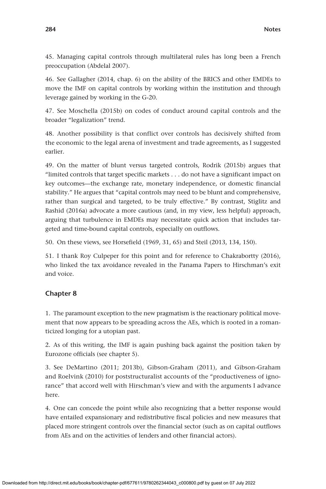45. Managing capital controls through multilateral rules has long been a French preoccupation (Abdelal 2007).

46. See Gallagher (2014, chap. 6) on the ability of the BRICS and other EMDEs to move the IMF on capital controls by working within the institution and through leverage gained by working in the G-20.

47. See Moschella (2015b) on codes of conduct around capital controls and the broader "legalization" trend.

48. Another possibility is that conflict over controls has decisively shifted from the economic to the legal arena of investment and trade agreements, as I suggested earlier.

49. On the matter of blunt versus targeted controls, Rodrik (2015b) argues that "limited controls that target specific markets . . . do not have a significant impact on key outcomes—the exchange rate, monetary independence, or domestic financial stability." He argues that "capital controls may need to be blunt and comprehensive, rather than surgical and targeted, to be truly effective." By contrast, Stiglitz and Rashid (2016a) advocate a more cautious (and, in my view, less helpful) approach, arguing that turbulence in EMDEs may necessitate quick action that includes targeted and time-bound capital controls, especially on outflows.

50. On these views, see Horsefield (1969, 31, 65) and Steil (2013, 134, 150).

51. I thank Roy Culpeper for this point and for reference to Chakrabortty (2016), who linked the tax avoidance revealed in the Panama Papers to Hirschman's exit and voice.

#### **Chapter 8**

1. The paramount exception to the new pragmatism is the reactionary political movement that now appears to be spreading across the AEs, which is rooted in a romanticized longing for a utopian past.

2. As of this writing, the IMF is again pushing back against the position taken by Eurozone officials (see chapter 5).

3. See DeMartino (2011; 2013b), Gibson-Graham (2011), and Gibson-Graham and Roelvink (2010) for poststructuralist accounts of the "productiveness of ignorance" that accord well with Hirschman's view and with the arguments I advance here.

4. One can concede the point while also recognizing that a better response would have entailed expansionary and redistributive fiscal policies and new measures that placed more stringent controls over the financial sector (such as on capital outflows from AEs and on the activities of lenders and other financial actors).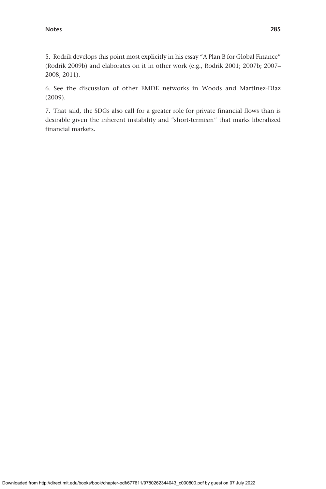5. Rodrik develops this point most explicitly in his essay "A Plan B for Global Finance" (Rodrik 2009b) and elaborates on it in other work (e.g., Rodrik 2001; 2007b; 2007– 2008; 2011).

6. See the discussion of other EMDE networks in Woods and Martinez-Diaz (2009).

7. That said, the SDGs also call for a greater role for private financial flows than is desirable given the inherent instability and "short-termism" that marks liberalized financial markets.